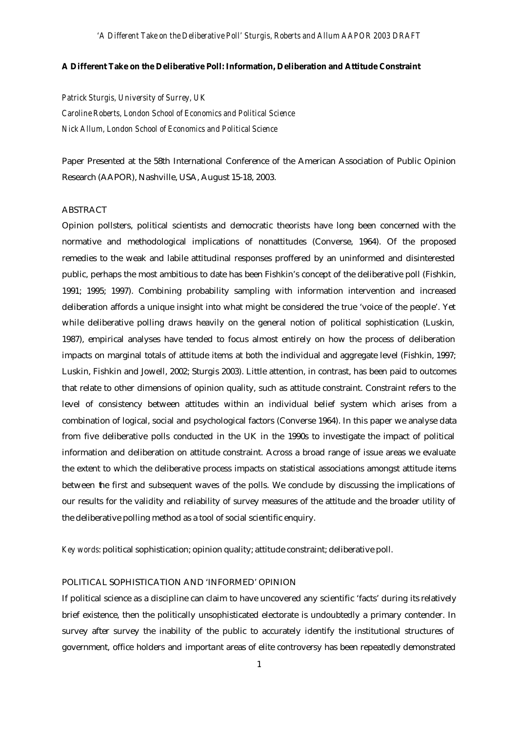### **A Different Take on the Deliberative Poll: Information, Deliberation and Attitude Constraint**

*Patrick Sturgis, University of Surrey, UK Caroline Roberts, London School of Economics and Political Science Nick Allum, London School of Economics and Political Science*

Paper Presented at the 58th International Conference of the American Association of Public Opinion Research (AAPOR), Nashville, USA, August 15-18, 2003.

## ABSTRACT

Opinion pollsters, political scientists and democratic theorists have long been concerned with the normative and methodological implications of nonattitudes (Converse, 1964). Of the proposed remedies to the weak and labile attitudinal responses proffered by an uninformed and disinterested public, perhaps the most ambitious to date has been Fishkin's concept of the deliberative poll (Fishkin, 1991; 1995; 1997). Combining probability sampling with information intervention and increased deliberation affords a unique insight into what might be considered the true 'voice of the people'. Yet while deliberative polling draws heavily on the general notion of political sophistication (Luskin, 1987), empirical analyses have tended to focus almost entirely on how the process of deliberation impacts on marginal totals of attitude items at both the individual and aggregate level (Fishkin, 1997; Luskin, Fishkin and Jowell, 2002; Sturgis 2003). Little attention, in contrast, has been paid to outcomes that relate to other dimensions of opinion quality, such as attitude constraint. Constraint refers to the level of consistency between attitudes within an individual belief system which arises from a combination of logical, social and psychological factors (Converse 1964). In this paper we analyse data from five deliberative polls conducted in the UK in the 1990s to investigate the impact of political information and deliberation on attitude constraint. Across a broad range of issue areas we evaluate the extent to which the deliberative process impacts on statistical associations amongst attitude items between the first and subsequent waves of the polls. We conclude by discussing the implications of our results for the validity and reliability of survey measures of the attitude and the broader utility of the deliberative polling method as a tool of social scientific enquiry.

*Key words*: political sophistication; opinion quality; attitude constraint; deliberative poll.

### POLITICAL SOPHISTICATION AND 'INFORMED' OPINION

If political science as a discipline can claim to have uncovered any scientific 'facts' during its relatively brief existence, then the politically unsophisticated electorate is undoubtedly a primary contender. In survey after survey the inability of the public to accurately identify the institutional structures of government, office holders and important areas of elite controversy has been repeatedly demonstrated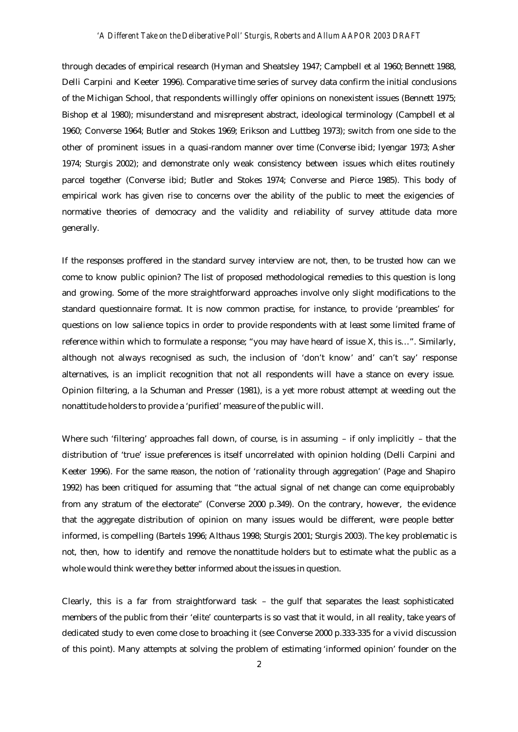### *'A Different Take on the Deliberative Poll' Sturgis, Roberts and Allum AAPOR 2003 DRAFT*

through decades of empirical research (Hyman and Sheatsley 1947; Campbell et al 1960; Bennett 1988, Delli Carpini and Keeter 1996). Comparative time series of survey data confirm the initial conclusions of the Michigan School, that respondents willingly offer opinions on nonexistent issues (Bennett 1975; Bishop et al 1980); misunderstand and misrepresent abstract, ideological terminology (Campbell et al 1960; Converse 1964; Butler and Stokes 1969; Erikson and Luttbeg 1973); switch from one side to the other of prominent issues in a quasi-random manner over time (Converse ibid; Iyengar 1973; Asher 1974; Sturgis 2002); and demonstrate only weak consistency between issues which elites routinely parcel together (Converse ibid; Butler and Stokes 1974; Converse and Pierce 1985). This body of empirical work has given rise to concerns over the ability of the public to meet the exigencies of normative theories of democracy and the validity and reliability of survey attitude data more generally.

If the responses proffered in the standard survey interview are not, then, to be trusted how can we come to know public opinion? The list of proposed methodological remedies to this question is long and growing. Some of the more straightforward approaches involve only slight modifications to the standard questionnaire format. It is now common practise, for instance, to provide 'preambles' for questions on low salience topics in order to provide respondents with at least some limited frame of reference within which to formulate a response; "you may have heard of issue X, this is…". Similarly, although not always recognised as such, the inclusion of 'don't know' and' can't say' response alternatives, is an implicit recognition that not all respondents will have a stance on every issue. Opinion filtering, a la Schuman and Presser (1981), is a yet more robust attempt at weeding out the nonattitude holders to provide a 'purified' measure of the public will.

Where such 'filtering' approaches fall down, of course, is in assuming – if only implicitly – that the distribution of 'true' issue preferences is itself uncorrelated with opinion holding (Delli Carpini and Keeter 1996). For the same reason, the notion of 'rationality through aggregation' (Page and Shapiro 1992) has been critiqued for assuming that "the actual signal of net change can come equiprobably from any stratum of the electorate" (Converse 2000 p.349). On the contrary, however, the evidence that the aggregate distribution of opinion on many issues would be different, were people better informed, is compelling (Bartels 1996; Althaus 1998; Sturgis 2001; Sturgis 2003). The key problematic is not, then, how to identify and remove the nonattitude holders but to estimate what the public as a whole would think were they better informed about the issues in question.

Clearly, this is a far from straightforward task – the gulf that separates the least sophisticated members of the public from their 'elite' counterparts is so vast that it would, in all reality, take years of dedicated study to even come close to broaching it (see Converse 2000 p.333-335 for a vivid discussion of this point). Many attempts at solving the problem of estimating 'informed opinion' founder on the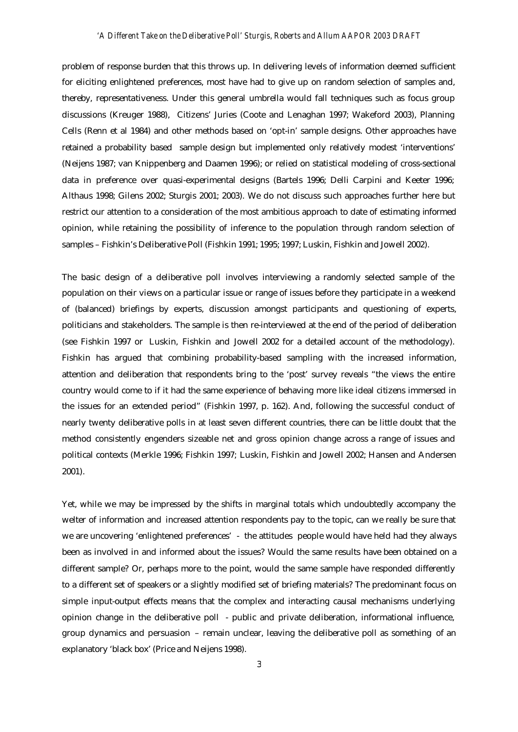### *'A Different Take on the Deliberative Poll' Sturgis, Roberts and Allum AAPOR 2003 DRAFT*

problem of response burden that this throws up. In delivering levels of information deemed sufficient for eliciting enlightened preferences, most have had to give up on random selection of samples and, thereby, representativeness. Under this general umbrella would fall techniques such as focus group discussions (Kreuger 1988), Citizens' Juries (Coote and Lenaghan 1997; Wakeford 2003), Planning Cells (Renn et al 1984) and other methods based on 'opt-in' sample designs. Other approaches have retained a probability based sample design but implemented only relatively modest 'interventions' (Neijens 1987; van Knippenberg and Daamen 1996); or relied on statistical modeling of cross-sectional data in preference over quasi-experimental designs (Bartels 1996; Delli Carpini and Keeter 1996; Althaus 1998; Gilens 2002; Sturgis 2001; 2003). We do not discuss such approaches further here but restrict our attention to a consideration of the most ambitious approach to date of estimating informed opinion, while retaining the possibility of inference to the population through random selection of samples – Fishkin's Deliberative Poll (Fishkin 1991; 1995; 1997; Luskin, Fishkin and Jowell 2002).

The basic design of a deliberative poll involves interviewing a randomly selected sample of the population on their views on a particular issue or range of issues before they participate in a weekend of (balanced) briefings by experts, discussion amongst participants and questioning of experts, politicians and stakeholders. The sample is then re-interviewed at the end of the period of deliberation (see Fishkin 1997 or Luskin, Fishkin and Jowell 2002 for a detailed account of the methodology). Fishkin has argued that combining probability-based sampling with the increased information, attention and deliberation that respondents bring to the 'post' survey reveals "the views the entire country would come to if it had the same experience of behaving more like ideal citizens immersed in the issues for an extended period" (Fishkin 1997, p. 162). And, following the successful conduct of nearly twenty deliberative polls in at least seven different countries, there can be little doubt that the method consistently engenders sizeable net and gross opinion change across a range of issues and political contexts (Merkle 1996; Fishkin 1997; Luskin, Fishkin and Jowell 2002; Hansen and Andersen 2001).

Yet, while we may be impressed by the shifts in marginal totals which undoubtedly accompany the welter of information and increased attention respondents pay to the topic, can we really be sure that we are uncovering 'enlightened preferences' - the attitudes people would have held had they always been as involved in and informed about the issues? Would the same results have been obtained on a different sample? Or, perhaps more to the point, would the same sample have responded differently to a different set of speakers or a slightly modified set of briefing materials? The predominant focus on simple input-output effects means that the complex and interacting causal mechanisms underlying opinion change in the deliberative poll - public and private deliberation, informational influence, group dynamics and persuasion – remain unclear, leaving the deliberative poll as something of an explanatory 'black box' (Price and Neijens 1998).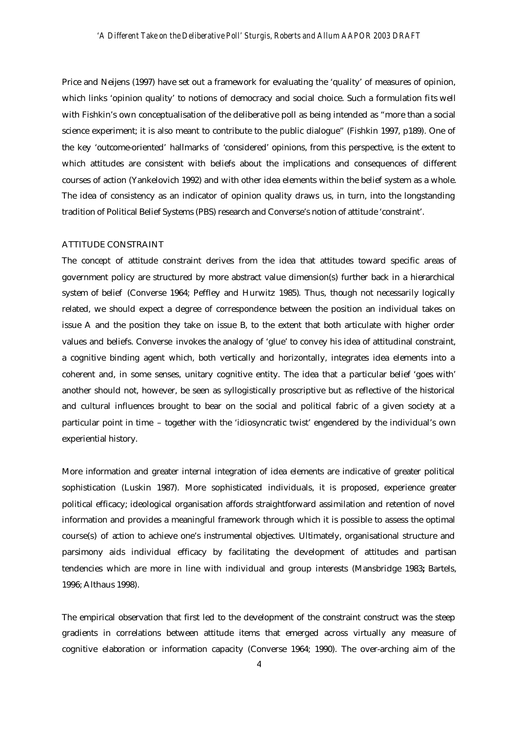Price and Neijens (1997) have set out a framework for evaluating the 'quality' of measures of opinion, which links 'opinion quality' to notions of democracy and social choice. Such a formulation fits well with Fishkin's own conceptualisation of the deliberative poll as being intended as "more than a social science experiment; it is also meant to contribute to the public dialogue" (Fishkin 1997, p189). One of the key 'outcome-oriented' hallmarks of 'considered' opinions, from this perspective, is the extent to which attitudes are consistent with beliefs about the implications and consequences of different courses of action (Yankelovich 1992) and with other idea elements within the belief system as a whole. The idea of consistency as an indicator of opinion quality draws us, in turn, into the longstanding tradition of Political Belief Systems (PBS) research and Converse's notion of attitude 'constraint'.

# ATTITUDE CONSTRAINT

The concept of attitude constraint derives from the idea that attitudes toward specific areas of government policy are structured by more abstract value dimension(s) further back in a hierarchical system of belief (Converse 1964; Peffley and Hurwitz 1985). Thus, though not necessarily logically related, we should expect a degree of correspondence between the position an individual takes on issue A and the position they take on issue B, to the extent that both articulate with higher order values and beliefs. Converse invokes the analogy of 'glue' to convey his idea of attitudinal constraint, a cognitive binding agent which, both vertically and horizontally, integrates idea elements into a coherent and, in some senses, unitary cognitive entity. The idea that a particular belief 'goes with' another should not, however, be seen as syllogistically proscriptive but as reflective of the historical and cultural influences brought to bear on the social and political fabric of a given society at a particular point in time – together with the 'idiosyncratic twist' engendered by the individual's own experiential history.

More information and greater internal integration of idea elements are indicative of greater political sophistication (Luskin 1987). More sophisticated individuals, it is proposed, experience greater political efficacy; ideological organisation affords straightforward assimilation and retention of novel information and provides a meaningful framework through which it is possible to assess the optimal course(s) of action to achieve one's instrumental objectives. Ultimately, organisational structure and parsimony aids individual efficacy by facilitating the development of attitudes and partisan tendencies which are more in line with individual and group interests (Mansbridge 1983**;** Bartels, 1996; Althaus 1998).

The empirical observation that first led to the development of the constraint construct was the steep gradients in correlations between attitude items that emerged across virtually any measure of cognitive elaboration or information capacity (Converse 1964; 1990). The over-arching aim of the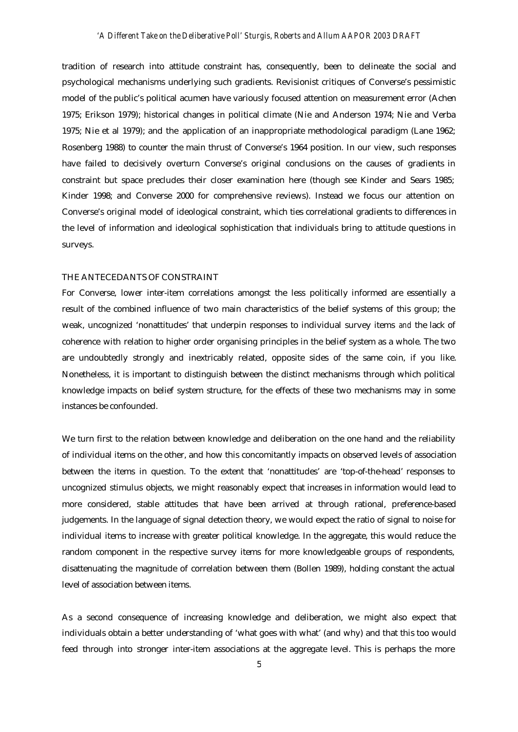tradition of research into attitude constraint has, consequently, been to delineate the social and psychological mechanisms underlying such gradients. Revisionist critiques of Converse's pessimistic model of the public's political acumen have variously focused attention on measurement error (Achen 1975; Erikson 1979); historical changes in political climate (Nie and Anderson 1974; Nie and Verba 1975; Nie et al 1979); and the application of an inappropriate methodological paradigm (Lane 1962; Rosenberg 1988) to counter the main thrust of Converse's 1964 position. In our view, such responses have failed to decisively overturn Converse's original conclusions on the causes of gradients in constraint but space precludes their closer examination here (though see Kinder and Sears 1985; Kinder 1998; and Converse 2000 for comprehensive reviews). Instead we focus our attention on Converse's original model of ideological constraint, which ties correlational gradients to differences in the level of information and ideological sophistication that individuals bring to attitude questions in surveys.

### THE ANTECEDANTS OF CONSTRAINT

For Converse, lower inter-item correlations amongst the less politically informed are essentially a result of the combined influence of two main characteristics of the belief systems of this group; the weak, uncognized 'nonattitudes' that underpin responses to individual survey items *and* the lack of coherence with relation to higher order organising principles in the belief system as a whole. The two are undoubtedly strongly and inextricably related, opposite sides of the same coin, if you like. Nonetheless, it is important to distinguish between the distinct mechanisms through which political knowledge impacts on belief system structure, for the effects of these two mechanisms may in some instances be confounded.

We turn first to the relation between knowledge and deliberation on the one hand and the reliability of individual items on the other, and how this concomitantly impacts on observed levels of association between the items in question. To the extent that 'nonattitudes' are 'top-of-the-head' responses to uncognized stimulus objects, we might reasonably expect that increases in information would lead to more considered, stable attitudes that have been arrived at through rational, preference-based judgements. In the language of signal detection theory, we would expect the ratio of signal to noise for individual items to increase with greater political knowledge. In the aggregate, this would reduce the random component in the respective survey items for more knowledgeable groups of respondents, disattenuating the magnitude of correlation between them (Bollen 1989), holding constant the actual level of association between items.

As a second consequence of increasing knowledge and deliberation, we might also expect that individuals obtain a better understanding of 'what goes with what' (and why) and that this too would feed through into stronger inter-item associations at the aggregate level. This is perhaps the more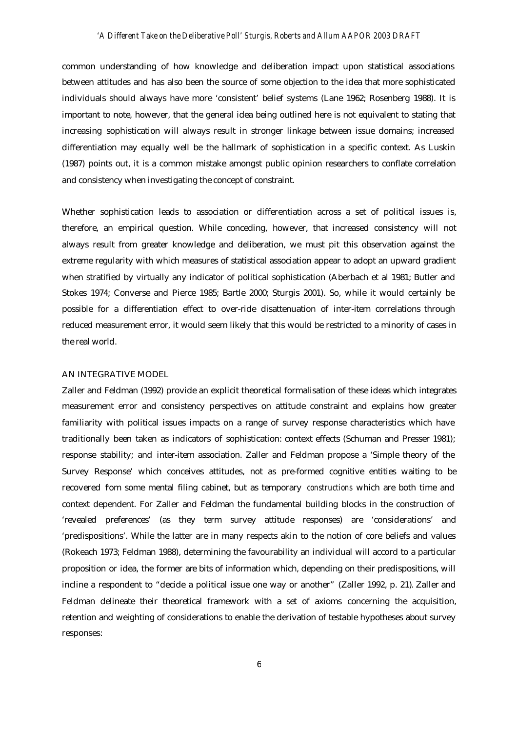common understanding of how knowledge and deliberation impact upon statistical associations between attitudes and has also been the source of some objection to the idea that more sophisticated individuals should always have more 'consistent' belief systems (Lane 1962; Rosenberg 1988). It is important to note, however, that the general idea being outlined here is not equivalent to stating that increasing sophistication will always result in stronger linkage between issue domains; increased differentiation may equally well be the hallmark of sophistication in a specific context. As Luskin (1987) points out, it is a common mistake amongst public opinion researchers to conflate correlation and consistency when investigating the concept of constraint.

Whether sophistication leads to association or differentiation across a set of political issues is, therefore, an empirical question. While conceding, however, that increased consistency will not always result from greater knowledge and deliberation, we must pit this observation against the extreme regularity with which measures of statistical association appear to adopt an upward gradient when stratified by virtually any indicator of political sophistication (Aberbach et al 1981; Butler and Stokes 1974; Converse and Pierce 1985; Bartle 2000; Sturgis 2001). So, while it would certainly be possible for a differentiation effect to over-ride disattenuation of inter-item correlations through reduced measurement error, it would seem likely that this would be restricted to a minority of cases in the real world.

### AN INTEGRATIVE MODEL

Zaller and Feldman (1992) provide an explicit theoretical formalisation of these ideas which integrates measurement error and consistency perspectives on attitude constraint and explains how greater familiarity with political issues impacts on a range of survey response characteristics which have traditionally been taken as indicators of sophistication: context effects (Schuman and Presser 1981); response stability; and inter-item association. Zaller and Feldman propose a 'Simple theory of the Survey Response' which conceives attitudes, not as pre-formed cognitive entities waiting to be recovered fom some mental filing cabinet, but as temporary *constructions* which are both time and context dependent. For Zaller and Feldman the fundamental building blocks in the construction of 'revealed preferences' (as they term survey attitude responses) are 'considerations' and 'predispositions'. While the latter are in many respects akin to the notion of core beliefs and values (Rokeach 1973; Feldman 1988), determining the favourability an individual will accord to a particular proposition or idea, the former are bits of information which, depending on their predispositions, will incline a respondent to "decide a political issue one way or another" (Zaller 1992, p. 21). Zaller and Feldman delineate their theoretical framework with a set of axioms concerning the acquisition, retention and weighting of considerations to enable the derivation of testable hypotheses about survey responses: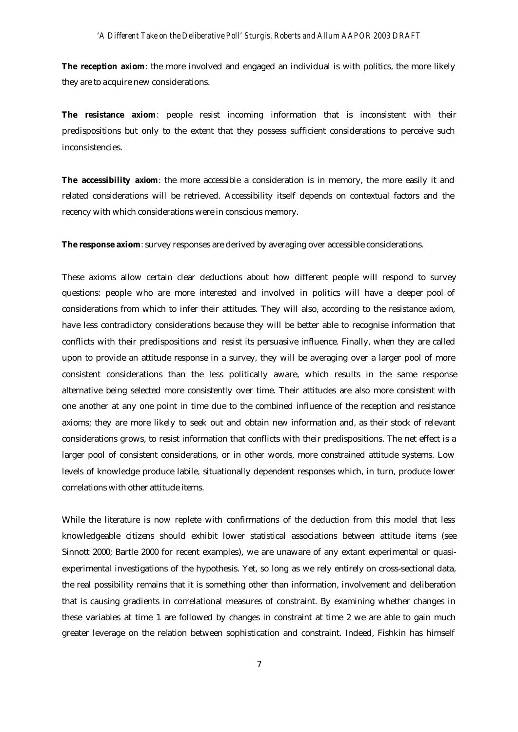The reception axiom: the more involved and engaged an individual is with politics, the more likely they are to acquire new considerations.

**The resistance axiom**: people resist incoming information that is inconsistent with their predispositions but only to the extent that they possess sufficient considerations to perceive such inconsistencies.

**The accessibility axiom**: the more accessible a consideration is in memory, the more easily it and related considerations will be retrieved. Accessibility itself depends on contextual factors and the recency with which considerations were in conscious memory.

**The response axiom**: survey responses are derived by averaging over accessible considerations.

These axioms allow certain clear deductions about how different people will respond to survey questions: people who are more interested and involved in politics will have a deeper pool of considerations from which to infer their attitudes. They will also, according to the resistance axiom, have less contradictory considerations because they will be better able to recognise information that conflicts with their predispositions and resist its persuasive influence. Finally, when they are called upon to provide an attitude response in a survey, they will be averaging over a larger pool of more consistent considerations than the less politically aware, which results in the same response alternative being selected more consistently over time. Their attitudes are also more consistent with one another at any one point in time due to the combined influence of the reception and resistance axioms; they are more likely to seek out and obtain new information and, as their stock of relevant considerations grows, to resist information that conflicts with their predispositions. The net effect is a larger pool of consistent considerations, or in other words, more constrained attitude systems. Low levels of knowledge produce labile, situationally dependent responses which, in turn, produce lower correlations with other attitude items.

While the literature is now replete with confirmations of the deduction from this model that less knowledgeable citizens should exhibit lower statistical associations between attitude items (see Sinnott 2000; Bartle 2000 for recent examples), we are unaware of any extant experimental or quasiexperimental investigations of the hypothesis. Yet, so long as we rely entirely on cross-sectional data, the real possibility remains that it is something other than information, involvement and deliberation that is causing gradients in correlational measures of constraint. By examining whether changes in these variables at time 1 are followed by changes in constraint at time 2 we are able to gain much greater leverage on the relation between sophistication and constraint. Indeed, Fishkin has himself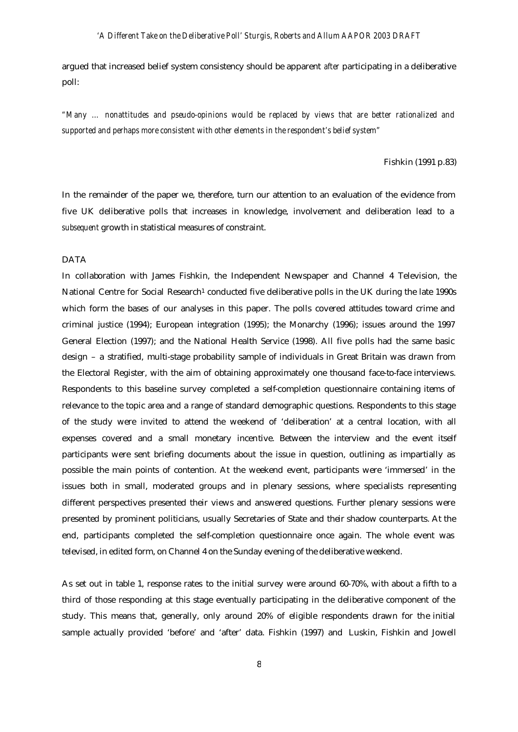argued that increased belief system consistency should be apparent *after* participating in a deliberative poll:

*"Many … nonattitudes and pseudo-opinions would be replaced by views that are better rationalized and supported and perhaps more consistent with other elements in the respondent's belief system"*

#### Fishkin (1991 p.83)

In the remainder of the paper we, therefore, turn our attention to an evaluation of the evidence from five UK deliberative polls that increases in knowledge, involvement and deliberation lead to a *subsequent* growth in statistical measures of constraint.

## DATA

In collaboration with James Fishkin, the Independent Newspaper and Channel 4 Television, the National Centre for Social Research<sup>1</sup> conducted five deliberative polls in the UK during the late 1990s which form the bases of our analyses in this paper. The polls covered attitudes toward crime and criminal justice (1994); European integration (1995); the Monarchy (1996); issues around the 1997 General Election (1997); and the National Health Service (1998). All five polls had the same basic design – a stratified, multi-stage probability sample of individuals in Great Britain was drawn from the Electoral Register, with the aim of obtaining approximately one thousand face-to-face interviews. Respondents to this baseline survey completed a self-completion questionnaire containing items of relevance to the topic area and a range of standard demographic questions. Respondents to this stage of the study were invited to attend the weekend of 'deliberation' at a central location, with all expenses covered and a small monetary incentive. Between the interview and the event itself participants were sent briefing documents about the issue in question, outlining as impartially as possible the main points of contention. At the weekend event, participants were 'immersed' in the issues both in small, moderated groups and in plenary sessions, where specialists representing different perspectives presented their views and answered questions. Further plenary sessions were presented by prominent politicians, usually Secretaries of State and their shadow counterparts. At the end, participants completed the self-completion questionnaire once again. The whole event was televised, in edited form, on Channel 4 on the Sunday evening of the deliberative weekend.

As set out in table 1, response rates to the initial survey were around 60-70%, with about a fifth to a third of those responding at this stage eventually participating in the deliberative component of the study. This means that, generally, only around 20% of eligible respondents drawn for the initial sample actually provided 'before' and 'after' data. Fishkin (1997) and Luskin, Fishkin and Jowell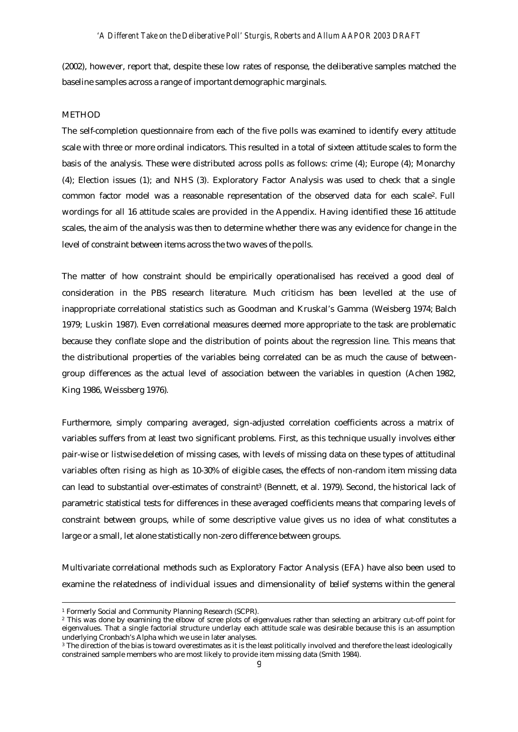(2002), however, report that, despite these low rates of response, the deliberative samples matched the baseline samples across a range of important demographic marginals.

### **METHOD**

The self-completion questionnaire from each of the five polls was examined to identify every attitude scale with three or more ordinal indicators. This resulted in a total of sixteen attitude scales to form the basis of the analysis. These were distributed across polls as follows: crime (4); Europe (4); Monarchy (4); Election issues (1); and NHS (3). Exploratory Factor Analysis was used to check that a single common factor model was a reasonable representation of the observed data for each scale2. Full wordings for all 16 attitude scales are provided in the Appendix. Having identified these 16 attitude scales, the aim of the analysis was then to determine whether there was any evidence for change in the level of constraint between items across the two waves of the polls.

The matter of how constraint should be empirically operationalised has received a good deal of consideration in the PBS research literature. Much criticism has been levelled at the use of inappropriate correlational statistics such as Goodman and Kruskal's Gamma (Weisberg 1974; Balch 1979; Luskin 1987). Even correlational measures deemed more appropriate to the task are problematic because they conflate slope and the distribution of points about the regression line. This means that the distributional properties of the variables being correlated can be as much the cause of betweengroup differences as the actual level of association between the variables in question (Achen 1982, King 1986, Weissberg 1976).

Furthermore, simply comparing averaged, sign-adjusted correlation coefficients across a matrix of variables suffers from at least two significant problems. First, as this technique usually involves either pair-wise or listwise deletion of missing cases, with levels of missing data on these types of attitudinal variables often rising as high as 10-30% of eligible cases, the effects of non-random item missing data can lead to substantial over-estimates of constraint<sup>3</sup> (Bennett, et al. 1979). Second, the historical lack of parametric statistical tests for differences in these averaged coefficients means that comparing levels of constraint between groups, while of some descriptive value gives us no idea of what constitutes a large or a small, let alone statistically non-zero difference between groups.

Multivariate correlational methods such as Exploratory Factor Analysis (EFA) have also been used to examine the relatedness of individual issues and dimensionality of belief systems within the general

j

<sup>1</sup> Formerly Social and Community Planning Research (SCPR).

<sup>2</sup> This was done by examining the elbow of scree plots of eigenvalues rather than selecting an arbitrary cut-off point for eigenvalues. That a single factorial structure underlay each attitude scale was desirable because this is an assumption underlying Cronbach's Alpha which we use in later analyses.

<sup>3</sup> The direction of the bias is toward overestimates as it is the least politically involved and therefore the least ideologically constrained sample members who are most likely to provide item missing data (Smith 1984).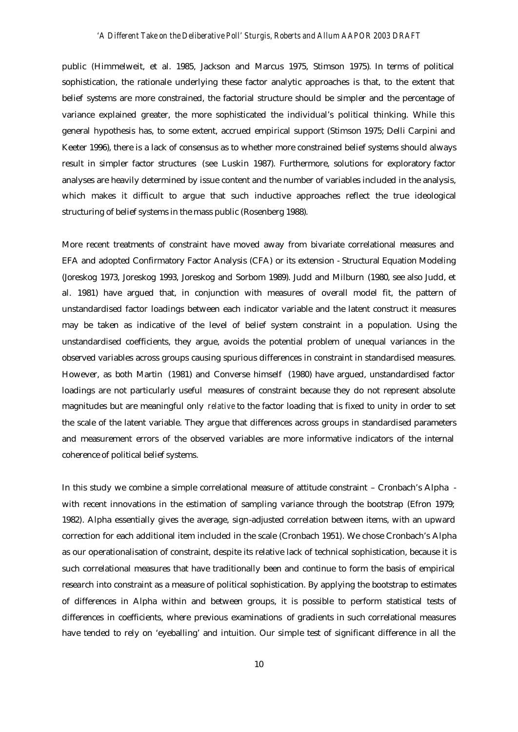public (Himmelweit, et al. 1985, Jackson and Marcus 1975, Stimson 1975). In terms of political sophistication, the rationale underlying these factor analytic approaches is that, to the extent that belief systems are more constrained, the factorial structure should be simpler and the percentage of variance explained greater, the more sophisticated the individual's political thinking. While this general hypothesis has, to some extent, accrued empirical support (Stimson 1975; Delli Carpini and Keeter 1996), there is a lack of consensus as to whether more constrained belief systems should always result in simpler factor structures (see Luskin 1987). Furthermore, solutions for exploratory factor analyses are heavily determined by issue content and the number of variables included in the analysis, which makes it difficult to argue that such inductive approaches reflect the true ideological structuring of belief systems in the mass public (Rosenberg 1988).

More recent treatments of constraint have moved away from bivariate correlational measures and EFA and adopted Confirmatory Factor Analysis (CFA) or its extension - Structural Equation Modeling (Joreskog 1973, Joreskog 1993, Joreskog and Sorbom 1989). Judd and Milburn (1980, see also Judd, et al. 1981) have argued that, in conjunction with measures of overall model fit, the pattern of unstandardised factor loadings between each indicator variable and the latent construct it measures may be taken as indicative of the level of belief system constraint in a population. Using the unstandardised coefficients, they argue, avoids the potential problem of unequal variances in the observed variables across groups causing spurious differences in constraint in standardised measures. However, as both Martin (1981) and Converse himself (1980) have argued, unstandardised factor loadings are not particularly useful measures of constraint because they do not represent absolute magnitudes but are meaningful only *relative* to the factor loading that is fixed to unity in order to set the scale of the latent variable. They argue that differences across groups in standardised parameters and measurement errors of the observed variables are more informative indicators of the internal coherence of political belief systems.

In this study we combine a simple correlational measure of attitude constraint – Cronbach's Alpha with recent innovations in the estimation of sampling variance through the bootstrap (Efron 1979; 1982). Alpha essentially gives the average, sign-adjusted correlation between items, with an upward correction for each additional item included in the scale (Cronbach 1951). We chose Cronbach's Alpha as our operationalisation of constraint, despite its relative lack of technical sophistication, because it is such correlational measures that have traditionally been and continue to form the basis of empirical research into constraint as a measure of political sophistication. By applying the bootstrap to estimates of differences in Alpha within and between groups, it is possible to perform statistical tests of differences in coefficients, where previous examinations of gradients in such correlational measures have tended to rely on 'eyeballing' and intuition. Our simple test of significant difference in all the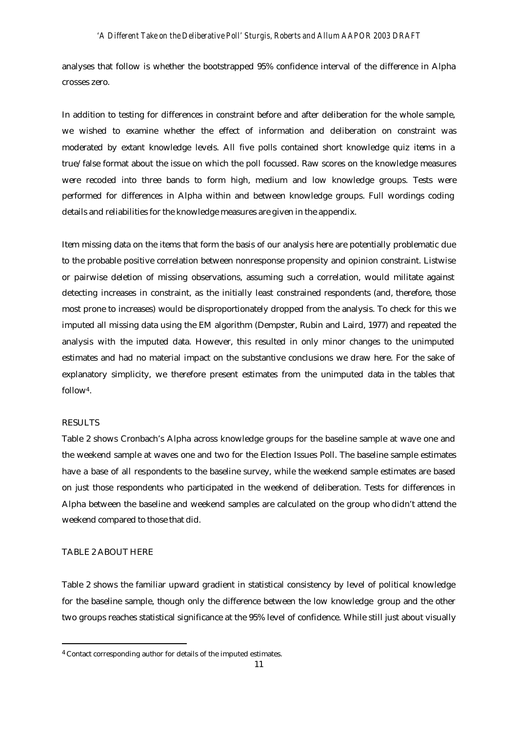analyses that follow is whether the bootstrapped 95% confidence interval of the difference in Alpha crosses zero.

In addition to testing for differences in constraint before and after deliberation for the whole sample, we wished to examine whether the effect of information and deliberation on constraint was moderated by extant knowledge levels. All five polls contained short knowledge quiz items in a true/false format about the issue on which the poll focussed. Raw scores on the knowledge measures were recoded into three bands to form high, medium and low knowledge groups. Tests were performed for differences in Alpha within and between knowledge groups. Full wordings coding details and reliabilities for the knowledge measures are given in the appendix.

Item missing data on the items that form the basis of our analysis here are potentially problematic due to the probable positive correlation between nonresponse propensity and opinion constraint. Listwise or pairwise deletion of missing observations, assuming such a correlation, would militate against detecting increases in constraint, as the initially least constrained respondents (and, therefore, those most prone to increases) would be disproportionately dropped from the analysis. To check for this we imputed all missing data using the EM algorithm (Dempster, Rubin and Laird, 1977) and repeated the analysis with the imputed data. However, this resulted in only minor changes to the unimputed estimates and had no material impact on the substantive conclusions we draw here. For the sake of explanatory simplicity, we therefore present estimates from the unimputed data in the tables that follow4.

## **RESULTS**

j

Table 2 shows Cronbach's Alpha across knowledge groups for the baseline sample at wave one and the weekend sample at waves one and two for the Election Issues Poll. The baseline sample estimates have a base of all respondents to the baseline survey, while the weekend sample estimates are based on just those respondents who participated in the weekend of deliberation. Tests for differences in Alpha between the baseline and weekend samples are calculated on the group who didn't attend the weekend compared to those that did.

## TABLE 2 ABOUT HERE

Table 2 shows the familiar upward gradient in statistical consistency by level of political knowledge for the baseline sample, though only the difference between the low knowledge group and the other two groups reaches statistical significance at the 95% level of confidence. While still just about visually

<sup>&</sup>lt;sup>4</sup> Contact corresponding author for details of the imputed estimates.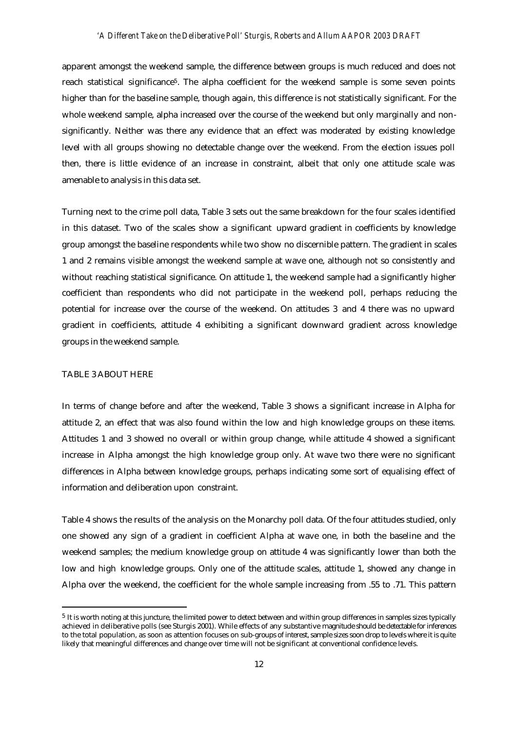apparent amongst the weekend sample, the difference between groups is much reduced and does not reach statistical significance<sup>5</sup>. The alpha coefficient for the weekend sample is some seven points higher than for the baseline sample, though again, this difference is not statistically significant. For the whole weekend sample, alpha increased over the course of the weekend but only marginally and nonsignificantly. Neither was there any evidence that an effect was moderated by existing knowledge level with all groups showing no detectable change over the weekend. From the election issues poll then, there is little evidence of an increase in constraint, albeit that only one attitude scale was amenable to analysis in this data set.

Turning next to the crime poll data, Table 3 sets out the same breakdown for the four scales identified in this dataset. Two of the scales show a significant upward gradient in coefficients by knowledge group amongst the baseline respondents while two show no discernible pattern. The gradient in scales 1 and 2 remains visible amongst the weekend sample at wave one, although not so consistently and without reaching statistical significance. On attitude 1, the weekend sample had a significantly higher coefficient than respondents who did not participate in the weekend poll, perhaps reducing the potential for increase over the course of the weekend. On attitudes 3 and 4 there was no upward gradient in coefficients, attitude 4 exhibiting a significant downward gradient across knowledge groups in the weekend sample.

## TABLE 3 ABOUT HERE

j

In terms of change before and after the weekend, Table 3 shows a significant increase in Alpha for attitude 2, an effect that was also found within the low and high knowledge groups on these items. Attitudes 1 and 3 showed no overall or within group change, while attitude 4 showed a significant increase in Alpha amongst the high knowledge group only. At wave two there were no significant differences in Alpha between knowledge groups, perhaps indicating some sort of equalising effect of information and deliberation upon constraint.

Table 4 shows the results of the analysis on the Monarchy poll data. Of the four attitudes studied, only one showed any sign of a gradient in coefficient Alpha at wave one, in both the baseline and the weekend samples; the medium knowledge group on attitude 4 was significantly lower than both the low and high knowledge groups. Only one of the attitude scales, attitude 1, showed any change in Alpha over the weekend, the coefficient for the whole sample increasing from .55 to .71. This pattern

 $5$  It is worth noting at this juncture, the limited power to detect between and within group differences in samples sizes typically achieved in deliberative polls (see Sturgis 2001). While effects of any substantive magnitude should be detectable for inferences to the total population, as soon as attention focuses on sub-groups of interest, sample sizes soon drop to levels where it is quite likely that meaningful differences and change over time will not be significant at conventional confidence levels.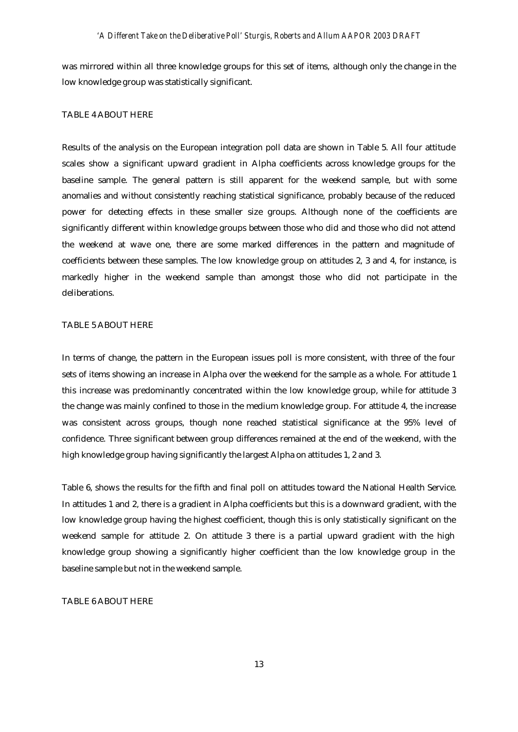was mirrored within all three knowledge groups for this set of items, although only the change in the low knowledge group was statistically significant.

### TABLE 4 ABOUT HERE

Results of the analysis on the European integration poll data are shown in Table 5. All four attitude scales show a significant upward gradient in Alpha coefficients across knowledge groups for the baseline sample. The general pattern is still apparent for the weekend sample, but with some anomalies and without consistently reaching statistical significance, probably because of the reduced power for detecting effects in these smaller size groups. Although none of the coefficients are significantly different within knowledge groups between those who did and those who did not attend the weekend at wave one, there are some marked differences in the pattern and magnitude of coefficients between these samples. The low knowledge group on attitudes 2, 3 and 4, for instance, is markedly higher in the weekend sample than amongst those who did not participate in the deliberations.

### TABLE 5 ABOUT HERE

In terms of change, the pattern in the European issues poll is more consistent, with three of the four sets of items showing an increase in Alpha over the weekend for the sample as a whole. For attitude 1 this increase was predominantly concentrated within the low knowledge group, while for attitude 3 the change was mainly confined to those in the medium knowledge group. For attitude 4, the increase was consistent across groups, though none reached statistical significance at the 95% level of confidence. Three significant between group differences remained at the end of the weekend, with the high knowledge group having significantly the largest Alpha on attitudes 1, 2 and 3.

Table 6, shows the results for the fifth and final poll on attitudes toward the National Health Service. In attitudes 1 and 2, there is a gradient in Alpha coefficients but this is a downward gradient, with the low knowledge group having the highest coefficient, though this is only statistically significant on the weekend sample for attitude 2. On attitude 3 there is a partial upward gradient with the high knowledge group showing a significantly higher coefficient than the low knowledge group in the baseline sample but not in the weekend sample.

## TABLE 6 ABOUT HERE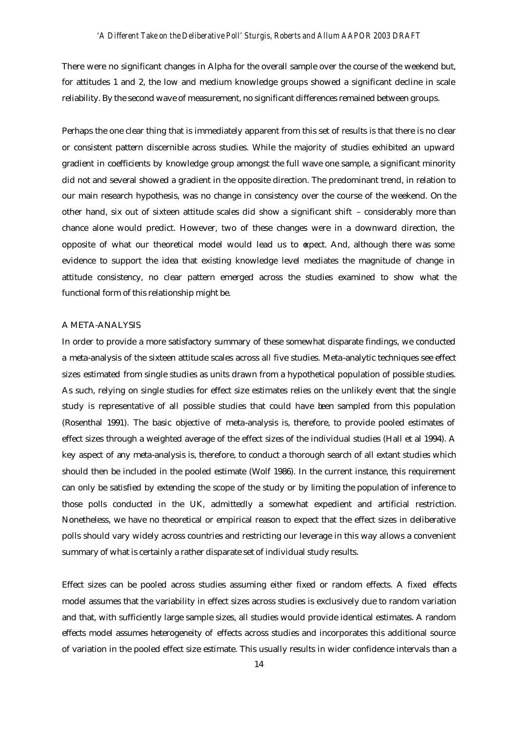There were no significant changes in Alpha for the overall sample over the course of the weekend but, for attitudes 1 and 2, the low and medium knowledge groups showed a significant decline in scale reliability. By the second wave of measurement, no significant differences remained between groups.

Perhaps the one clear thing that is immediately apparent from this set of results is that there is no clear or consistent pattern discernible across studies. While the majority of studies exhibited an upward gradient in coefficients by knowledge group amongst the full wave one sample, a significant minority did not and several showed a gradient in the opposite direction. The predominant trend, in relation to our main research hypothesis, was no change in consistency over the course of the weekend. On the other hand, six out of sixteen attitude scales did show a significant shift – considerably more than chance alone would predict. However, two of these changes were in a downward direction, the opposite of what our theoretical model would lead us to expect. And, although there was some evidence to support the idea that existing knowledge level mediates the magnitude of change in attitude consistency, no clear pattern emerged across the studies examined to show what the functional form of this relationship might be.

#### A META-ANALYSIS

In order to provide a more satisfactory summary of these somewhat disparate findings, we conducted a meta-analysis of the sixteen attitude scales across all five studies. Meta-analytic techniques see effect sizes estimated from single studies as units drawn from a hypothetical population of possible studies. As such, relying on single studies for effect size estimates relies on the unlikely event that the single study is representative of all possible studies that could have been sampled from this population (Rosenthal 1991). The basic objective of meta-analysis is, therefore, to provide pooled estimates of effect sizes through a weighted average of the effect sizes of the individual studies (Hall et al 1994). A key aspect of any meta-analysis is, therefore, to conduct a thorough search of all extant studies which should then be included in the pooled estimate (Wolf 1986). In the current instance, this requirement can only be satisfied by extending the scope of the study or by limiting the population of inference to those polls conducted in the UK, admittedly a somewhat expedient and artificial restriction. Nonetheless, we have no theoretical or empirical reason to expect that the effect sizes in deliberative polls should vary widely across countries and restricting our leverage in this way allows a convenient summary of what is certainly a rather disparate set of individual study results.

Effect sizes can be pooled across studies assuming either fixed or random effects. A fixed effects model assumes that the variability in effect sizes across studies is exclusively due to random variation and that, with sufficiently large sample sizes, all studies would provide identical estimates. A random effects model assumes heterogeneity of effects across studies and incorporates this additional source of variation in the pooled effect size estimate. This usually results in wider confidence intervals than a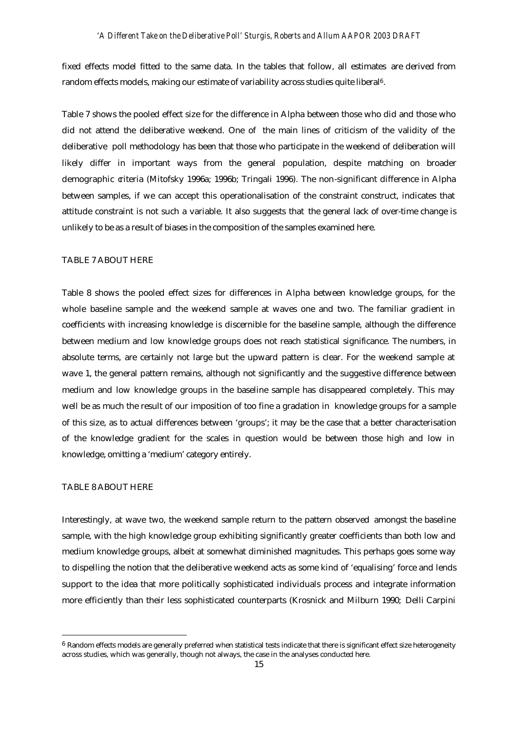fixed effects model fitted to the same data. In the tables that follow, all estimates are derived from random effects models, making our estimate of variability across studies quite liberal6.

Table 7 shows the pooled effect size for the difference in Alpha between those who did and those who did not attend the deliberative weekend. One of the main lines of criticism of the validity of the deliberative poll methodology has been that those who participate in the weekend of deliberation will likely differ in important ways from the general population, despite matching on broader demographic criteria (Mitofsky 1996a; 1996b; Tringali 1996). The non-significant difference in Alpha between samples, if we can accept this operationalisation of the constraint construct, indicates that attitude constraint is not such a variable. It also suggests that the general lack of over-time change is unlikely to be as a result of biases in the composition of the samples examined here.

### TABLE 7 ABOUT HERE

Table 8 shows the pooled effect sizes for differences in Alpha between knowledge groups, for the whole baseline sample and the weekend sample at waves one and two. The familiar gradient in coefficients with increasing knowledge is discernible for the baseline sample, although the difference between medium and low knowledge groups does not reach statistical significance. The numbers, in absolute terms, are certainly not large but the upward pattern is clear. For the weekend sample at wave 1, the general pattern remains, although not significantly and the suggestive difference between medium and low knowledge groups in the baseline sample has disappeared completely. This may well be as much the result of our imposition of too fine a gradation in knowledge groups for a sample of this size, as to actual differences between 'groups'; it may be the case that a better characterisation of the knowledge gradient for the scales in question would be between those high and low in knowledge, omitting a 'medium' category entirely.

#### TABLE 8 ABOUT HERE

j

Interestingly, at wave two, the weekend sample return to the pattern observed amongst the baseline sample, with the high knowledge group exhibiting significantly greater coefficients than both low and medium knowledge groups, albeit at somewhat diminished magnitudes. This perhaps goes some way to dispelling the notion that the deliberative weekend acts as some kind of 'equalising' force and lends support to the idea that more politically sophisticated individuals process and integrate information more efficiently than their less sophisticated counterparts (Krosnick and Milburn 1990; Delli Carpini

 $6$  Random effects models are generally preferred when statistical tests indicate that there is significant effect size heterogeneity across studies, which was generally, though not always, the case in the analyses conducted here.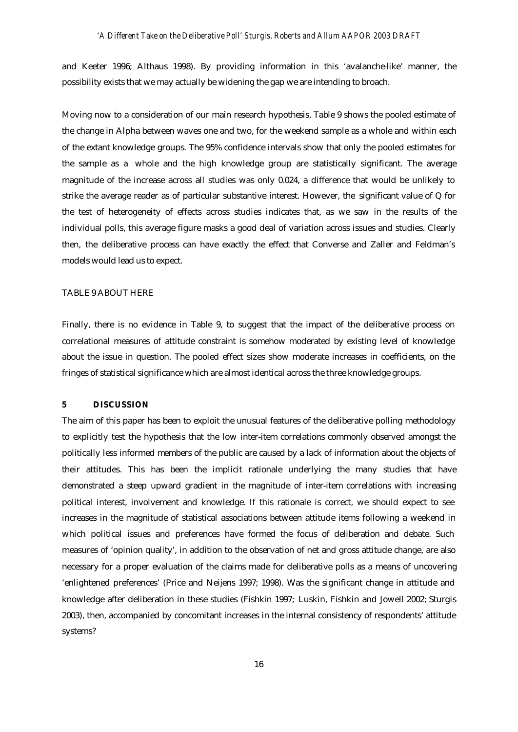and Keeter 1996; Althaus 1998). By providing information in this 'avalanche-like' manner, the possibility exists that we may actually be widening the gap we are intending to broach.

Moving now to a consideration of our main research hypothesis, Table 9 shows the pooled estimate of the change in Alpha between waves one and two, for the weekend sample as a whole and within each of the extant knowledge groups. The 95% confidence intervals show that only the pooled estimates for the sample as a whole and the high knowledge group are statistically significant. The average magnitude of the increase across all studies was only 0.024, a difference that would be unlikely to strike the average reader as of particular substantive interest. However, the significant value of Q for the test of heterogeneity of effects across studies indicates that, as we saw in the results of the individual polls, this average figure masks a good deal of variation across issues and studies. Clearly then, the deliberative process can have exactly the effect that Converse and Zaller and Feldman's models would lead us to expect.

### TABLE 9 ABOUT HERE

Finally, there is no evidence in Table 9, to suggest that the impact of the deliberative process on correlational measures of attitude constraint is somehow moderated by existing level of knowledge about the issue in question. The pooled effect sizes show moderate increases in coefficients, on the fringes of statistical significance which are almost identical across the three knowledge groups.

#### **5 DISCUSSION**

The aim of this paper has been to exploit the unusual features of the deliberative polling methodology to explicitly test the hypothesis that the low inter-item correlations commonly observed amongst the politically less informed members of the public are caused by a lack of information about the objects of their attitudes. This has been the implicit rationale underlying the many studies that have demonstrated a steep upward gradient in the magnitude of inter-item correlations with increasing political interest, involvement and knowledge. If this rationale is correct, we should expect to see increases in the magnitude of statistical associations between attitude items following a weekend in which political issues and preferences have formed the focus of deliberation and debate. Such measures of 'opinion quality', in addition to the observation of net and gross attitude change, are also necessary for a proper evaluation of the claims made for deliberative polls as a means of uncovering 'enlightened preferences' (Price and Neijens 1997; 1998). Was the significant change in attitude and knowledge after deliberation in these studies (Fishkin 1997; Luskin, Fishkin and Jowell 2002; Sturgis 2003), then, accompanied by concomitant increases in the internal consistency of respondents' attitude systems?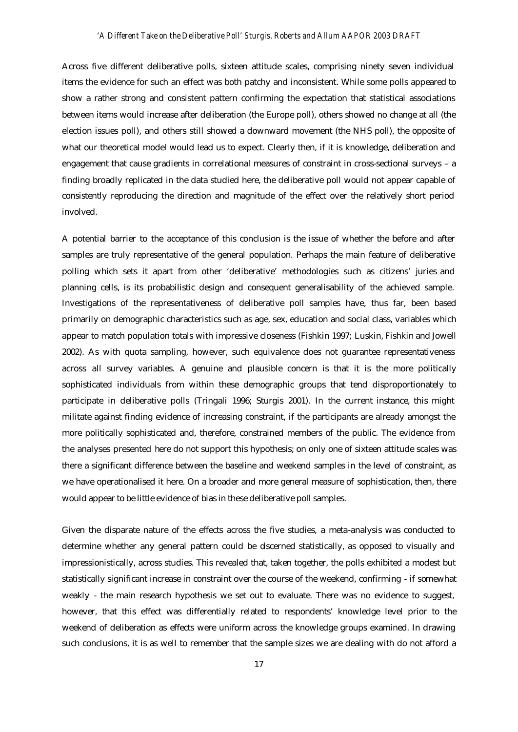Across five different deliberative polls, sixteen attitude scales, comprising ninety seven individual items the evidence for such an effect was both patchy and inconsistent. While some polls appeared to show a rather strong and consistent pattern confirming the expectation that statistical associations between items would increase after deliberation (the Europe poll), others showed no change at all (the election issues poll), and others still showed a downward movement (the NHS poll), the opposite of what our theoretical model would lead us to expect. Clearly then, if it is knowledge, deliberation and engagement that cause gradients in correlational measures of constraint in cross-sectional surveys – a finding broadly replicated in the data studied here, the deliberative poll would not appear capable of consistently reproducing the direction and magnitude of the effect over the relatively short period involved.

A potential barrier to the acceptance of this conclusion is the issue of whether the before and after samples are truly representative of the general population. Perhaps the main feature of deliberative polling which sets it apart from other 'deliberative' methodologies such as citizens' juries and planning cells, is its probabilistic design and consequent generalisability of the achieved sample. Investigations of the representativeness of deliberative poll samples have, thus far, been based primarily on demographic characteristics such as age, sex, education and social class, variables which appear to match population totals with impressive closeness (Fishkin 1997; Luskin, Fishkin and Jowell 2002). As with quota sampling, however, such equivalence does not guarantee representativeness across all survey variables. A genuine and plausible concern is that it is the more politically sophisticated individuals from within these demographic groups that tend disproportionately to participate in deliberative polls (Tringali 1996; Sturgis 2001). In the current instance, this might militate against finding evidence of increasing constraint, if the participants are already amongst the more politically sophisticated and, therefore, constrained members of the public. The evidence from the analyses presented here do not support this hypothesis; on only one of sixteen attitude scales was there a significant difference between the baseline and weekend samples in the level of constraint, as we have operationalised it here. On a broader and more general measure of sophistication, then, there would appear to be little evidence of bias in these deliberative poll samples.

Given the disparate nature of the effects across the five studies, a meta-analysis was conducted to determine whether any general pattern could be discerned statistically, as opposed to visually and impressionistically, across studies. This revealed that, taken together, the polls exhibited a modest but statistically significant increase in constraint over the course of the weekend, confirming - if somewhat weakly - the main research hypothesis we set out to evaluate. There was no evidence to suggest, however, that this effect was differentially related to respondents' knowledge level prior to the weekend of deliberation as effects were uniform across the knowledge groups examined. In drawing such conclusions, it is as well to remember that the sample sizes we are dealing with do not afford a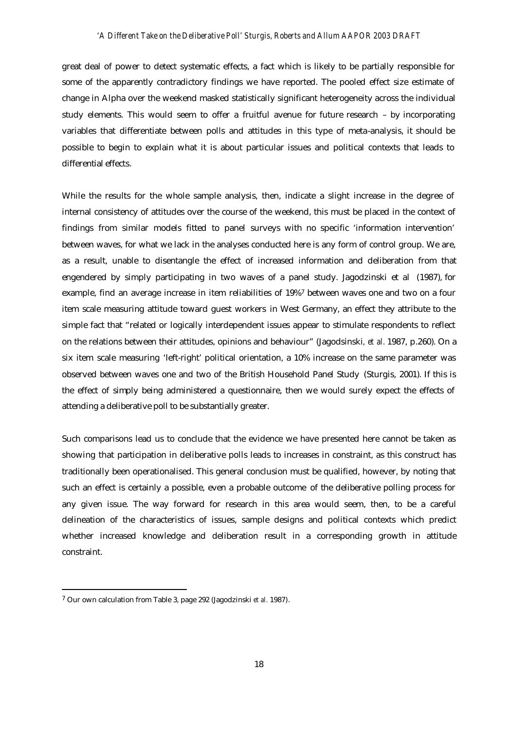great deal of power to detect systematic effects, a fact which is likely to be partially responsible for some of the apparently contradictory findings we have reported. The pooled effect size estimate of change in Alpha over the weekend masked statistically significant heterogeneity across the individual study elements. This would seem to offer a fruitful avenue for future research – by incorporating variables that differentiate between polls and attitudes in this type of meta-analysis, it should be possible to begin to explain what it is about particular issues and political contexts that leads to differential effects.

While the results for the whole sample analysis, then, indicate a slight increase in the degree of internal consistency of attitudes over the course of the weekend, this must be placed in the context of findings from similar models fitted to panel surveys with no specific 'information intervention' between waves, for what we lack in the analyses conducted here is any form of control group. We are, as a result, unable to disentangle the effect of increased information and deliberation from that engendered by simply participating in two waves of a panel study. Jagodzinski et al (1987), for example, find an average increase in item reliabilities of 19%7 between waves one and two on a four item scale measuring attitude toward guest workers in West Germany, an effect they attribute to the simple fact that "related or logically interdependent issues appear to stimulate respondents to reflect on the relations between their attitudes, opinions and behaviour" (Jagodsinski*, et al.* 1987, p.260). On a six item scale measuring 'left-right' political orientation, a 10% increase on the same parameter was observed between waves one and two of the British Household Panel Study (Sturgis, 2001). If this is the effect of simply being administered a questionnaire, then we would surely expect the effects of attending a deliberative poll to be substantially greater.

Such comparisons lead us to conclude that the evidence we have presented here cannot be taken as showing that participation in deliberative polls leads to increases in constraint, as this construct has traditionally been operationalised. This general conclusion must be qualified, however, by noting that such an effect is certainly a possible, even a probable outcome of the deliberative polling process for any given issue. The way forward for research in this area would seem, then, to be a careful delineation of the characteristics of issues, sample designs and political contexts which predict whether increased knowledge and deliberation result in a corresponding growth in attitude constraint.

l

<sup>7</sup> Our own calculation from Table 3, page 292 (Jagodzinski *et al.* 1987).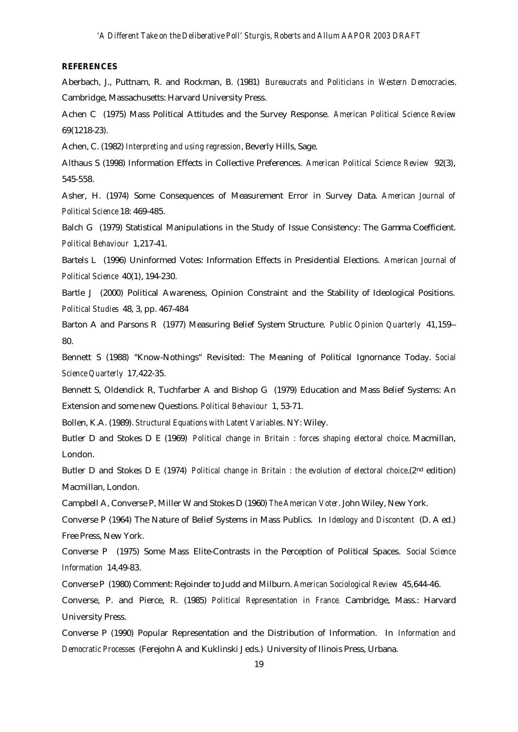#### **REFERENCES**

Aberbach, J., Puttnam, R. and Rockman, B. (1981) *Bureaucrats and Politicians in Western Democracies*. Cambridge, Massachusetts: Harvard University Press.

Achen C (1975) Mass Political Attitudes and the Survey Response. *American Political Science Review* 69(1218-23).

Achen, C. (1982) *Interpreting and using regression*, Beverly Hills, Sage.

Althaus S (1998) Information Effects in Collective Preferences. *American Political Science Review* 92(3), 545-558.

Asher, H. (1974) Some Consequences of Measurement Error in Survey Data. *American Journal of Political Science* 18: 469-485.

Balch G (1979) Statistical Manipulations in the Study of Issue Consistency: The Gamma Coefficient. *Political Behaviour* 1,217-41.

Bartels L (1996) Uninformed Votes: Information Effects in Presidential Elections. *American Journal of Political Science* 40(1), 194-230.

Bartle J (2000) Political Awareness, Opinion Constraint and the Stability of Ideological Positions. *Political Studies* 48, 3, pp. 467-484

Barton A and Parsons R (1977) Measuring Belief System Structure. *Public Opinion Quarterly* 41,159-- 80.

Bennett S (1988) "Know-Nothings" Revisited: The Meaning of Political Ignornance Today. *Social Science Quarterly* 17,422-35.

Bennett S, Oldendick R, Tuchfarber A and Bishop G (1979) Education and Mass Belief Systems: An Extension and some new Questions. *Political Behaviour* 1, 53-71.

Bollen, K.A. (1989). *Structural Equations with Latent Variables*. NY: Wiley.

Butler D and Stokes D E (1969) *Political change in Britain : forces shaping electoral choice*. Macmillan, London.

Butler D and Stokes D E (1974) *Political change in Britain : the evolution of electoral choice*.(2<sup>nd</sup> edition) Macmillan, London.

Campbell A, Converse P, Miller W and Stokes D (1960) *The American Voter*. John Wiley, New York.

Converse P (1964) The Nature of Belief Systems in Mass Publics. In *Ideology and Discontent* (D. A ed.) Free Press, New York.

Converse P (1975) Some Mass Elite-Contrasts in the Perception of Political Spaces. *Social Science Information* 14,49-83.

Converse P (1980) Comment: Rejoinder to Judd and Milburn. *American Sociological Review* 45,644-46.

Converse, P. and Pierce, R. (1985) *Political Representation in France.* Cambridge, Mass.: Harvard University Press.

Converse P (1990) Popular Representation and the Distribution of Information. In *Information and Democratic Processes* (Ferejohn A and Kuklinski J eds.) University of Ilinois Press, Urbana.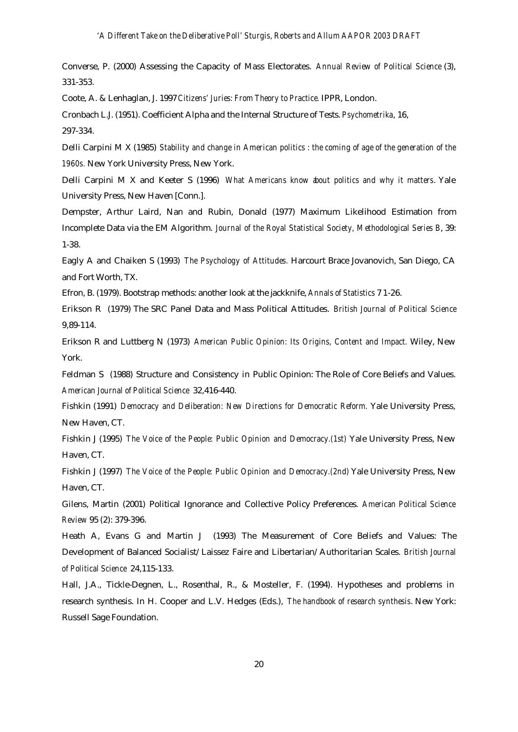Converse, P. (2000) Assessing the Capacity of Mass Electorates. *Annual Review of Political Science* (3), 331-353.

Coote, A. & Lenhaglan, J. 1997 *Citizens' Juries: From Theory to Practice.* IPPR, London.

Cronbach L.J. (1951). Coefficient Alpha and the Internal Structure of Tests. *Psychometrika*, 16, 297-334.

Delli Carpini M X (1985) *Stability and change in American politics : the coming of age of the generation of the 1960s.* New York University Press, New York.

Delli Carpini M X and Keeter S (1996) *What Americans know about politics and why it matters*. Yale University Press, New Haven [Conn.].

Dempster, Arthur Laird, Nan and Rubin, Donald (1977) Maximum Likelihood Estimation from Incomplete Data via the EM Algorithm. *Journal of the Royal Statistical Society, Methodological Series B*, 39: 1-38.

Eagly A and Chaiken S (1993) *The Psychology of Attitudes.* Harcourt Brace Jovanovich, San Diego, CA and Fort Worth, TX.

Efron, B. (1979). Bootstrap methods: another look at the jackknife, *Annals of Statistics* 7 1-26.

Erikson R (1979) The SRC Panel Data and Mass Political Attitudes. *British Journal of Political Science* 9,89-114.

Erikson R and Luttberg N (1973) *American Public Opinion: Its Origins, Content and Impact.* Wiley, New York.

Feldman S (1988) Structure and Consistency in Public Opinion: The Role of Core Beliefs and Values. *American Journal of Political Science* 32,416-440.

Fishkin (1991) *Democracy and Deliberation: New Directions for Democratic Reform.* Yale University Press, New Haven, CT.

Fishkin J (1995) *The Voice of the People: Public Opinion and Democracy.(1st)* Yale University Press, New Haven, CT.

Fishkin J (1997) *The Voice of the People: Public Opinion and Democracy.(2nd)* Yale University Press, New Haven, CT.

Gilens, Martin (2001) Political Ignorance and Collective Policy Preferences. *American Political Science Review* 95 (2): 379-396.

Heath A, Evans G and Martin J (1993) The Measurement of Core Beliefs and Values: The Development of Balanced Socialist/Laissez Faire and Libertarian/Authoritarian Scales. *British Journal of Political Science* 24,115-133.

Hall, J.A., Tickle-Degnen, L., Rosenthal, R., & Mosteller, F. (1994). Hypotheses and problems in research synthesis. In H. Cooper and L.V. Hedges (Eds.), *The handbook of research synthesis*. New York: Russell Sage Foundation.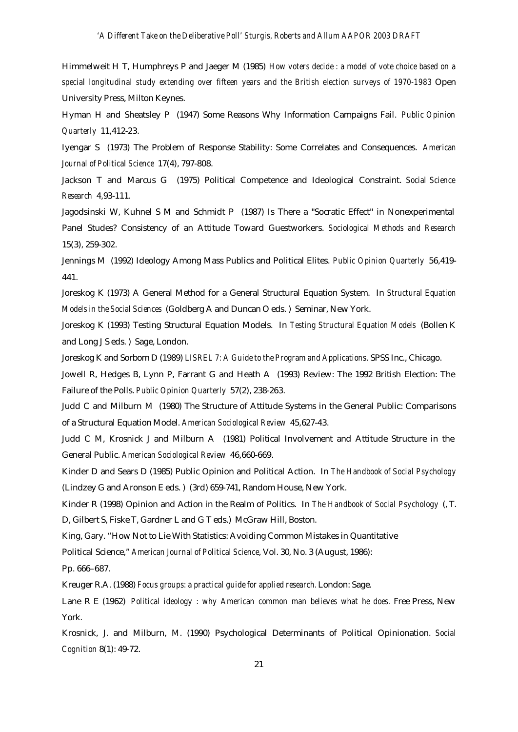Himmelweit H T, Humphreys P and Jaeger M (1985) *How voters decide : a model of vote choice based on a special longitudinal study extending over fifteen years and the British election surveys of 1970-1983* Open University Press, Milton Keynes.

Hyman H and Sheatsley P (1947) Some Reasons Why Information Campaigns Fail. *Public Opinion Quarterly* 11,412-23.

Iyengar S (1973) The Problem of Response Stability: Some Correlates and Consequences. *American Journal of Political Science* 17(4), 797-808.

Jackson T and Marcus G (1975) Political Competence and Ideological Constraint. *Social Science Research* 4,93-111.

Jagodsinski W, Kuhnel S M and Schmidt P (1987) Is There a "Socratic Effect" in Nonexperimental Panel Studes? Consistency of an Attitude Toward Guestworkers. *Sociological Methods and Research* 15(3), 259-302.

Jennings M (1992) Ideology Among Mass Publics and Political Elites. *Public Opinion Quarterly* 56,419- 441.

Joreskog K (1973) A General Method for a General Structural Equation System. In *Structural Equation Models in the Social Sciences* (Goldberg A and Duncan O eds. ) Seminar, New York.

Joreskog K (1993) Testing Structural Equation Models. In *Testing Structural Equation Models* (Bollen K and Long J S eds. ) Sage, London.

Joreskog K and Sorbom D (1989) *LISREL 7: A Guide to the Program and Applications*. SPSS Inc., Chicago.

Jowell R, Hedges B, Lynn P, Farrant G and Heath A (1993) Review: The 1992 British Election: The Failure of the Polls. *Public Opinion Quarterly* 57(2), 238-263.

Judd C and Milburn M (1980) The Structure of Attitude Systems in the General Public: Comparisons of a Structural Equation Model. *American Sociological Review* 45,627-43.

Judd C M, Krosnick J and Milburn A (1981) Political Involvement and Attitude Structure in the General Public. *American Sociological Review* 46,660-669.

Kinder D and Sears D (1985) Public Opinion and Political Action. In *The Handbook of Social Psychology* (Lindzey G and Aronson E eds. ) (3rd) 659-741, Random House, New York.

Kinder R (1998) Opinion and Action in the Realm of Politics. In *The Handbook of Social Psychology* (, T. D, Gilbert S, Fiske T, Gardner L and G T eds.) McGraw Hill, Boston.

King, Gary. "How Not to Lie With Statistics: Avoiding Common Mistakes in Quantitative

Political Science," *American Journal of Political Science*, Vol. 30, No. 3 (August, 1986):

Pp. 666–687.

Kreuger R.A. (1988) *Focus groups: a practical guide for applied research.* London: Sage.

Lane R E (1962) *Political ideology : why American common man believes what he does.* Free Press, New York.

Krosnick, J. and Milburn, M. (1990) Psychological Determinants of Political Opinionation. *Social Cognition* 8(1): 49-72.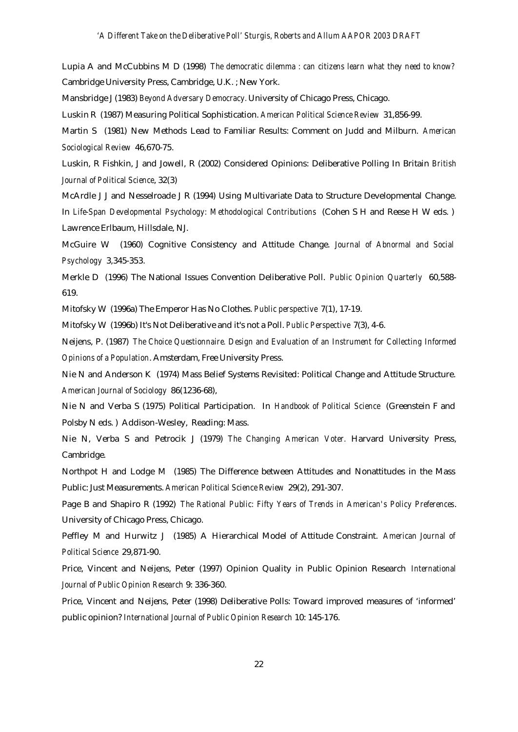Lupia A and McCubbins M D (1998) *The democratic dilemma : can citizens learn what they need to know?* Cambridge University Press, Cambridge, U.K. ; New York.

Mansbridge J (1983) *Beyond Adversary Democracy.* University of Chicago Press, Chicago.

Luskin R (1987) Measuring Political Sophistication. *American Political Science Review* 31,856-99.

Martin S (1981) New Methods Lead to Familiar Results: Comment on Judd and Milburn. *American Sociological Review* 46,670-75.

Luskin, R Fishkin, J and Jowell, R (2002) Considered Opinions: Deliberative Polling In Britain *British Journal of Political Science*, 32(3)

McArdle J J and Nesselroade J R (1994) Using Multivariate Data to Structure Developmental Change. In *Life-Span Developmental Psychology: Methodological Contributions* (Cohen S H and Reese H W eds. ) Lawrence Erlbaum, Hillsdale, NJ.

McGuire W (1960) Cognitive Consistency and Attitude Change. *Journal of Abnormal and Social Psychology* 3,345-353.

Merkle D (1996) The National Issues Convention Deliberative Poll. *Public Opinion Quarterly* 60,588- 619.

Mitofsky W (1996a) The Emperor Has No Clothes. *Public perspective* 7(1), 17-19.

Mitofsky W (1996b) It's Not Deliberative and it's not a Poll. *Public Perspective* 7(3), 4-6.

Neijens, P. (1987) *The Choice Questionnaire. Design and Evaluation of an Instrument for Collecting Informed Opinions of a Population*. Amsterdam, Free University Press.

Nie N and Anderson K (1974) Mass Belief Systems Revisited: Political Change and Attitude Structure. *American Journal of Sociology* 86(1236-68),

Nie N and Verba S (1975) Political Participation. In *Handbook of Political Science* (Greenstein F and Polsby N eds. ) Addison-Wesley, Reading: Mass.

Nie N, Verba S and Petrocik J (1979) *The Changing American Voter.* Harvard University Press, Cambridge.

Northpot H and Lodge M (1985) The Difference between Attitudes and Nonattitudes in the Mass Public: Just Measurements. *American Political Science Review* 29(2), 291-307.

Page B and Shapiro R (1992) *The Rational Public: Fifty Years of Trends in American's Policy Preferences*. University of Chicago Press, Chicago.

Peffley M and Hurwitz J (1985) A Hierarchical Model of Attitude Constraint. *American Journal of Political Science* 29,871-90.

Price, Vincent and Neijens, Peter (1997) Opinion Quality in Public Opinion Research *International Journal of Public Opinion Research* 9: 336-360.

Price, Vincent and Neijens, Peter (1998) Deliberative Polls: Toward improved measures of 'informed' public opinion? *International Journal of Public Opinion Research* 10: 145-176.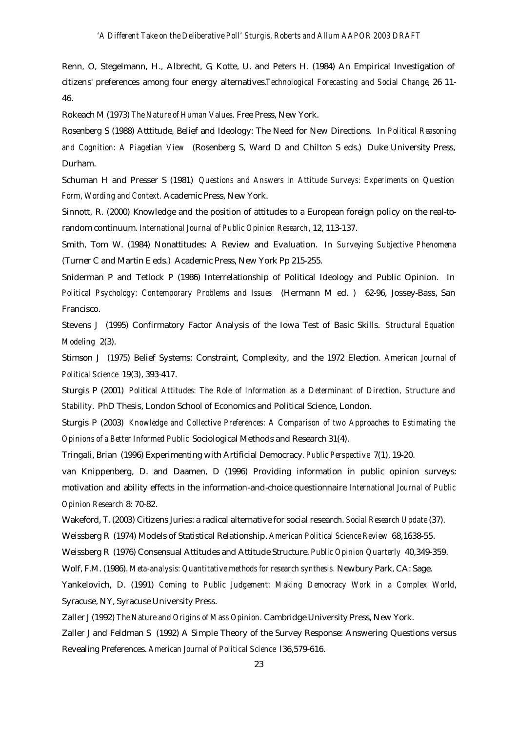Renn, O, Stegelmann, H., Albrecht, G, Kotte, U. and Peters H. (1984) An Empirical Investigation of citizens' preferences among four energy alternatives.*Technological Forecasting and Social Change*, 26 11- 46.

Rokeach M (1973) *The Nature of Human Values.* Free Press, New York.

Rosenberg S (1988) Atttitude, Belief and Ideology: The Need for New Directions. In *Political Reasoning and Cognition: A Piagetian View* (Rosenberg S, Ward D and Chilton S eds.) Duke University Press, Durham.

Schuman H and Presser S (1981) *Questions and Answers in Attitude Surveys: Experiments on Question Form, Wording and Context.* Academic Press, New York.

Sinnott, R. (2000) Knowledge and the position of attitudes to a European foreign policy on the real-torandom continuum. *International Journal of Public Opinion Research*, 12, 113-137.

Smith, Tom W. (1984) Nonattitudes: A Review and Evaluation. In *Surveying Subjective Phenomena* (Turner C and Martin E eds.) Academic Press, New York Pp 215-255.

Sniderman P and Tetlock P (1986) Interrelationship of Political Ideology and Public Opinion. In *Political Psychology: Contemporary Problems and Issues* (Hermann M ed. ) 62-96, Jossey-Bass, San Francisco.

Stevens J (1995) Confirmatory Factor Analysis of the Iowa Test of Basic Skills. *Structural Equation Modeling* 2(3).

Stimson J (1975) Belief Systems: Constraint, Complexity, and the 1972 Election. *American Journal of Political Science* 19(3), 393-417.

Sturgis P (2001) *Political Attitudes: The Role of Information as a Determinant of Direction, Structure and Stability.* PhD Thesis, London School of Economics and Political Science, London.

Sturgis P (2003) *Knowledge and Collective Preferences: A Comparison of two Approaches to Estimating the Opinions of a Better Informed Public* Sociological Methods and Research 31(4).

Tringali, Brian (1996) Experimenting with Artificial Democracy. *Public Perspective* 7(1), 19-20.

van Knippenberg, D. and Daamen, D (1996) Providing information in public opinion surveys: motivation and ability effects in the information-and-choice questionnaire *International Journal of Public Opinion Research* 8: 70-82.

Wakeford, T. (2003) Citizens Juries: a radical alternative for social research. *Social Research Update* (37).

Weissberg R (1974) Models of Statistical Relationship. *American Political Science Review* 68,1638-55.

Weissberg R (1976) Consensual Attitudes and Attitude Structure. *Public Opinion Quarterly* 40,349-359.

Wolf, F.M. (1986). *Meta-analysis: Quantitative methods for research synthesis.* Newbury Park, CA: Sage.

Yankelovich, D. (1991) *Coming to Public Judgement: Making Democracy Work in a Complex World*, Syracuse, NY, Syracuse University Press.

Zaller J (1992) *The Nature and Origins of Mass Opinion.* Cambridge University Press, New York.

Zaller J and Feldman S (1992) A Simple Theory of the Survey Response: Answering Questions versus Revealing Preferences. *American Journal of Political Science* l36,579-616.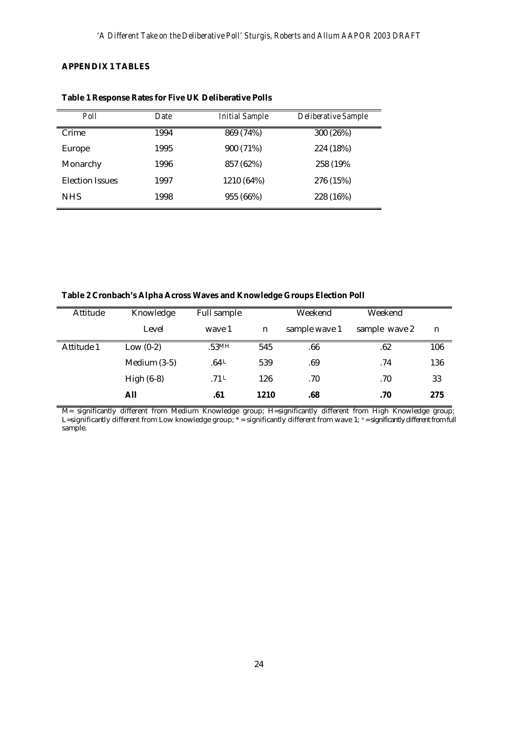# **APPENDIX 1 TABLES**

| Poll                   | Date | <b>Initial Sample</b> | Deliberative Sample |
|------------------------|------|-----------------------|---------------------|
| Crime                  | 1994 | 869 (74%)             | 300 (26%)           |
| <b>Europe</b>          | 1995 | 900 (71%)             | 224 (18%)           |
| Monarchy               | 1996 | 857 (62%)             | 258 (19%)           |
| <b>Election Issues</b> | 1997 | 1210 (64%)            | 276 (15%)           |
| <b>NHS</b>             | 1998 | 955 (66%)             | 228 (16%)           |

**Table 1 Response Rates for Five UK Deliberative Polls**

**Table 2 Cronbach's Alpha Across Waves and Knowledge Groups Election Poll** 

| Attitude   | Knowledge      | <b>Full sample</b> |             | Weekend       | Weekend       |     |
|------------|----------------|--------------------|-------------|---------------|---------------|-----|
|            | Level          | wave 1             | $\mathbf n$ | sample wave 1 | sample wave 2 | n   |
| Attitude 1 | Low $(0-2)$    | .53MH              | 545         | .66           | .62           | 106 |
|            | Medium $(3-5)$ | .64L               | 539         | .69           | .74           | 136 |
|            | High $(6-8)$   | .71L               | 126         | .70           | .70           | 33  |
|            | All            | .61                | 1210        | .68           | .70           | 275 |

M= significantly different from Medium Knowledge group; H=significantly different from High Knowledge group; L=significantly different from Low knowledge group; \* = significantly different from wave 1; + = significantly different from full sample.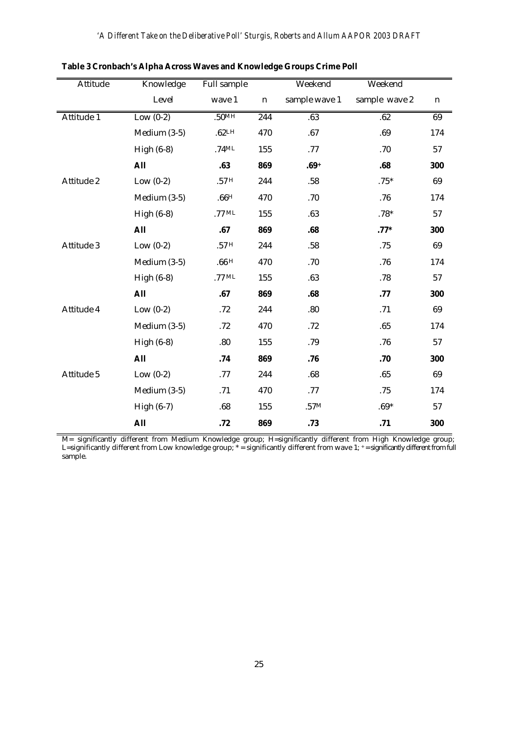| <b>Attitude</b> | Knowledge      | Full sample |                  | Weekend       | Weekend       |             |
|-----------------|----------------|-------------|------------------|---------------|---------------|-------------|
|                 | Level          | wave 1      | $\mathbf n$      | sample wave 1 | sample wave 2 | $\mathbf n$ |
| Attitude 1      | Low $(0-2)$    | .50MH       | $\overline{244}$ | .63           | .62           | 69          |
|                 | Medium $(3-5)$ | .62LH       | 470              | .67           | .69           | 174         |
|                 | High $(6-8)$   | $.74$ ML    | 155              | .77           | .70           | 57          |
|                 | <b>All</b>     | .63         | 869              | $.69+$        | .68           | 300         |
| Attitude 2      | Low $(0-2)$    | .57H        | 244              | .58           | $.75*$        | 69          |
|                 | Medium (3-5)   | .66H        | 470              | .70           | .76           | 174         |
|                 | High $(6-8)$   | $.77$ ML    | 155              | .63           | $.78*$        | 57          |
|                 | <b>All</b>     | .67         | 869              | .68           | $.77*$        | 300         |
| Attitude 3      | Low $(0-2)$    | .57H        | 244              | $.58\,$       | .75           | 69          |
|                 | Medium (3-5)   | .66H        | 470              | .70           | .76           | 174         |
|                 | High $(6-8)$   | $.77$ ML    | 155              | .63           | .78           | 57          |
|                 | <b>All</b>     | .67         | 869              | .68           | .77           | 300         |
| Attitude 4      | Low $(0-2)$    | .72         | 244              | .80           | .71           | 69          |
|                 | Medium (3-5)   | .72         | 470              | .72           | .65           | 174         |
|                 | High $(6-8)$   | .80         | 155              | .79           | .76           | 57          |
|                 | <b>All</b>     | .74         | 869              | .76           | .70           | 300         |
| Attitude 5      | Low $(0-2)$    | .77         | 244              | .68           | .65           | 69          |
|                 | Medium (3-5)   | .71         | 470              | .77           | .75           | 174         |
|                 | High $(6-7)$   | .68         | 155              | .57M          | $.69*$        | 57          |
|                 | <b>All</b>     | .72         | 869              | .73           | .71           | 300         |

**Table 3 Cronbach's Alpha Across Waves and Knowledge Groups Crime Poll** 

M= significantly different from Medium Knowledge group; H=significantly different from High Knowledge group; L=significantly different from Low knowledge group; \* = significantly different from wave 1; + = significantly different from full sample.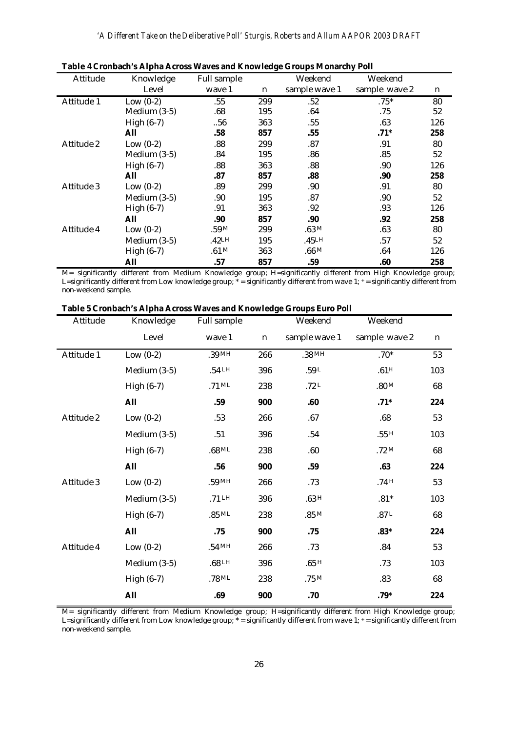| Attitude   | Knowledge      | Full sample       |     | Weekend                   | Weekend       |     |
|------------|----------------|-------------------|-----|---------------------------|---------------|-----|
|            | Level          | wave 1            | n   | sample wave 1             | sample wave 2 | n   |
| Attitude 1 | Low $(0-2)$    | .55               | 299 | .52                       | $.75*$        | 80  |
|            | Medium $(3-5)$ | .68               | 195 | .64                       | .75           | 52  |
|            | High $(6-7)$   | .56               | 363 | .55                       | .63           | 126 |
|            | All            | .58               | 857 | .55                       | $.71*$        | 258 |
| Attitude 2 | Low $(0-2)$    | .88               | 299 | .87                       | .91           | 80  |
|            | Medium $(3-5)$ | .84               | 195 | .86                       | .85           | 52  |
|            | High $(6-7)$   | .88               | 363 | .88                       | .90           | 126 |
|            | All            | .87               | 857 | .88                       | .90           | 258 |
| Attitude 3 | Low $(0-2)$    | .89               | 299 | .90.                      | .91           | 80  |
|            | Medium $(3-5)$ | .90               | 195 | .87                       | .90           | 52  |
|            | High $(6-7)$   | .91               | 363 | .92                       | .93           | 126 |
|            | All            | .90               | 857 | .90                       | .92           | 258 |
| Attitude 4 | Low $(0-2)$    | .59M              | 299 | $0.63~\mathrm{M}_{\odot}$ | .63           | 80  |
|            | Medium $(3-5)$ | .42 <sub>LH</sub> | 195 | .45LH                     | .57           | 52  |
|            | High $(6-7)$   | .61 M             | 363 | .66M                      | .64           | 126 |
|            | <b>All</b>     | .57               | 857 | .59                       | .60           | 258 |

| Table 4 Cronbach's Alpha Across Waves and Knowledge Groups Monarchy Poll |  |  |  |
|--------------------------------------------------------------------------|--|--|--|
|--------------------------------------------------------------------------|--|--|--|

M= significantly different from Medium Knowledge group; H=significantly different from High Knowledge group; L=significantly different from Low knowledge group; \* = significantly different from wave 1; + = significantly different from non-weekend sample.

| Table 5 Cronbach's Alpha Across Waves and Knowledge Groups Euro Poll |  |  |
|----------------------------------------------------------------------|--|--|
|                                                                      |  |  |

| Attitude   | Knowledge      | Full sample       |             | Weekend           | Weekend          |             |
|------------|----------------|-------------------|-------------|-------------------|------------------|-------------|
|            | Level          | wave 1            | $\mathbf n$ | sample wave 1     | sample wave 2    | $\mathbf n$ |
| Attitude 1 | Low $(0-2)$    | .39MH             | 266         | .38 <sub>MH</sub> | $.70*$           | 53          |
|            | Medium (3-5)   | $.54$ LH          | 396         | $.59 L$           | .61 <sup>H</sup> | 103         |
|            | High $(6-7)$   | $.71$ ML          | 238         | .72 $L$           | .80 M            | 68          |
|            | <b>All</b>     | .59               | 900         | .60               | $.71*$           | 224         |
| Attitude 2 | Low $(0-2)$    | .53               | 266         | .67               | .68              | 53          |
|            | Medium $(3-5)$ | .51               | 396         | .54               | .55H             | 103         |
|            | High $(6-7)$   | $.68$ ML          | 238         | .60               | .72M             | 68          |
|            | <b>All</b>     | .56               | 900         | .59               | .63              | 224         |
| Attitude 3 | Low $(0-2)$    | $.59$ MH          | 266         | .73               | .74H             | 53          |
|            | Medium $(3-5)$ | $.71$ LH          | 396         | .63H              | $.81*$           | 103         |
|            | High $(6-7)$   | $.85$ ML          | 238         | $.85\,\rm{M}$     | .87L             | 68          |
|            | <b>All</b>     | .75               | 900         | .75               | $.83*$           | 224         |
| Attitude 4 | Low $(0-2)$    | $.54$ MH          | 266         | .73               | .84              | 53          |
|            | Medium $(3-5)$ | .68 <sup>LH</sup> | 396         | .65H              | .73              | 103         |
|            | High $(6-7)$   | $.78$ ML          | 238         | .75M              | .83              | 68          |
|            | <b>All</b>     | .69               | 900         | .70               | $.79*$           | 224         |

M= significantly different from Medium Knowledge group; H=significantly different from High Knowledge group; L=significantly different from Low knowledge group; \* = significantly different from wave 1; + = significantly different from non-weekend sample.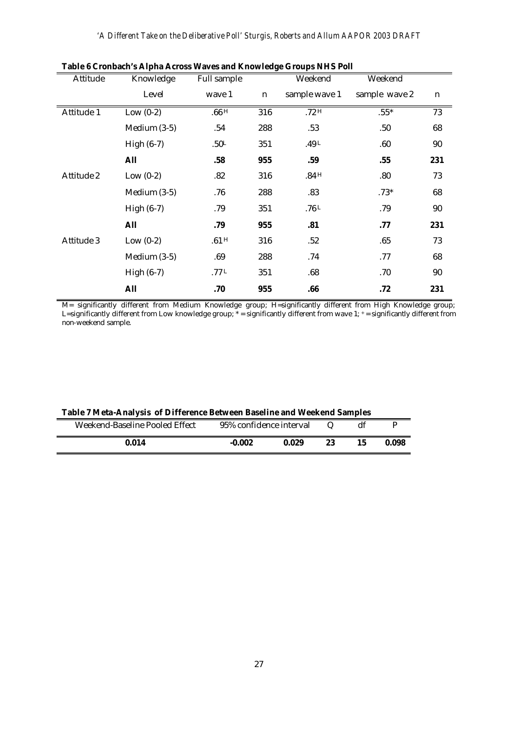| Attitude   | Knowledge      | Full sample      |     | Weekend       | Weekend       |                 |
|------------|----------------|------------------|-----|---------------|---------------|-----------------|
|            | Level          | wave 1           | n   | sample wave 1 | sample wave 2 | $\mathbf n$     |
| Attitude 1 | Low $(0-2)$    | .66H             | 316 | .72H          | $.55*$        | $\overline{73}$ |
|            | Medium $(3-5)$ | .54              | 288 | .53           | .50           | 68              |
|            | High $(6-7)$   | .50 <sup>L</sup> | 351 | $.49 L$       | .60           | 90              |
|            | <b>All</b>     | .58              | 955 | .59           | .55           | 231             |
| Attitude 2 | Low $(0-2)$    | .82              | 316 | .84H          | .80           | 73              |
|            | Medium $(3-5)$ | .76              | 288 | .83           | $.73*$        | 68              |
|            | High $(6-7)$   | .79              | 351 | .76 $L$       | .79           | 90              |
|            | All            | .79              | 955 | .81           | .77           | 231             |
| Attitude 3 | Low $(0-2)$    | .61H             | 316 | .52           | .65           | 73              |
|            | Medium $(3-5)$ | .69              | 288 | .74           | .77           | 68              |
|            | High $(6-7)$   | .77 $L$          | 351 | .68           | .70           | $90\,$          |
|            | <b>All</b>     | .70              | 955 | .66           | .72           | 231             |

| Table 6 Cronbach's Alpha Across Waves and Knowledge Groups NHS Poll |  |  |
|---------------------------------------------------------------------|--|--|
|                                                                     |  |  |

M= significantly different from Medium Knowledge group; H=significantly different from High Knowledge group; L=significantly different from Low knowledge group; \* = significantly different from wave 1; + = significantly different from non-weekend sample.

| Table 7 Meta-Analysis of Difference Between Baseline and Weekend Samples |  |
|--------------------------------------------------------------------------|--|
|--------------------------------------------------------------------------|--|

| Weekend-Baseline Pooled Effect | 95% confidence interval |       | $\omega$ |       |
|--------------------------------|-------------------------|-------|----------|-------|
| 0.014                          | $-0.002$                | 0.029 | 23       | 0.098 |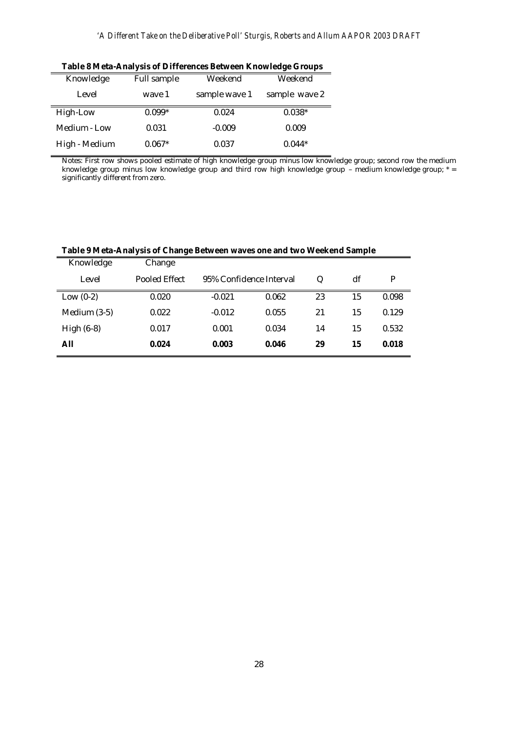|               | Table o meta-Anarysis or Differences Detween Knowledge Groups |               |               |  |  |  |  |
|---------------|---------------------------------------------------------------|---------------|---------------|--|--|--|--|
| Knowledge     | <b>Full sample</b>                                            | Weekend       | Weekend       |  |  |  |  |
| Level         | wave 1                                                        | sample wave 1 | sample wave 2 |  |  |  |  |
| High-Low      | $0.099*$                                                      | 0.024         | $0.038*$      |  |  |  |  |
| Medium - Low  | 0.031                                                         | $-0.009$      | 0.009         |  |  |  |  |
| High - Medium | $0.067*$                                                      | 0.037         | $0.044*$      |  |  |  |  |

**Table 8 Meta-Analysis of Differences Between Knowledge Groups** 

Notes: First row shows pooled estimate of high knowledge group minus low knowledge group; second row the medium knowledge group minus low knowledge group and third row high knowledge group – medium knowledge group; \* = significantly different from zero.

|  | Table 9 Meta-Analysis of Change Between waves one and two Weekend Sample |
|--|--------------------------------------------------------------------------|
|  |                                                                          |

| Knowledge      | Change        |                         |       |    |    |       |
|----------------|---------------|-------------------------|-------|----|----|-------|
| Level          | Pooled Effect | 95% Confidence Interval |       | Q  | df | P     |
| Low $(0-2)$    | 0.020         | $-0.021$                | 0.062 | 23 | 15 | 0.098 |
| Medium $(3-5)$ | 0.022         | $-0.012$                | 0.055 | 21 | 15 | 0.129 |
| High $(6-8)$   | 0.017         | 0.001                   | 0.034 | 14 | 15 | 0.532 |
| All            | 0.024         | 0.003                   | 0.046 | 29 | 15 | 0.018 |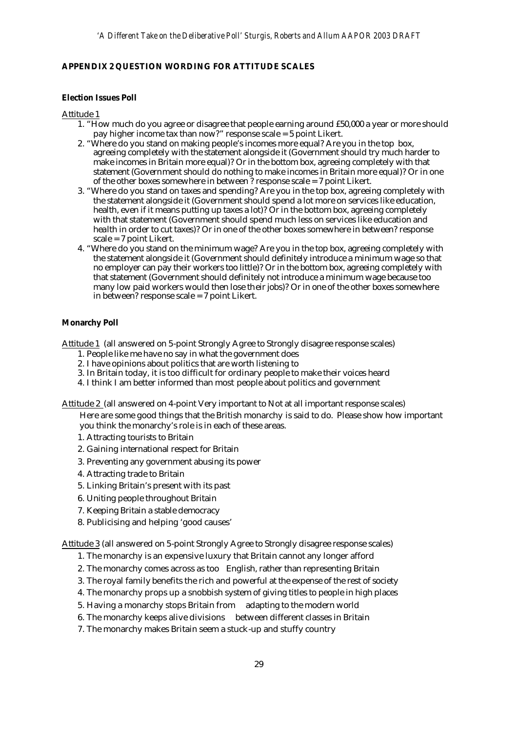# **APPENDIX 2 QUESTION WORDING FOR ATTITUDE SCALES**

# **Election Issues Poll**

## Attitude 1

- 1. "How much do you agree or disagree that people earning around £50,000 a year or more should pay higher income tax than now?" response scale = 5 point Likert.
- 2. "Where do you stand on making people's incomes more equal? Are you in the top box, agreeing completely with the statement alongside it (Government should try much harder to make incomes in Britain more equal)? Or in the bottom box, agreeing completely with that statement (Government should do nothing to make incomes in Britain more equal)? Or in one of the other boxes somewhere in between ? response scale = 7 point Likert.
- 3. "Where do you stand on taxes and spending? Are you in the top box, agreeing completely with the statement alongside it (Government should spend a lot more on services like education, health, even if it means putting up taxes a lot)? Or in the bottom box, agreeing completely with that statement (Government should spend much less on services like education and health in order to cut taxes)? Or in one of the other boxes somewhere in between? response scale = 7 point Likert.
- 4. "Where do you stand on the minimum wage? Are you in the top box, agreeing completely with the statement alongside it (Government should definitely introduce a minimum wage so that no employer can pay their workers too little)? Or in the bottom box, agreeing completely with that statement (Government should definitely not introduce a minimum wage because too many low paid workers would then lose their jobs)? Or in one of the other boxes somewhere in between? response scale = 7 point Likert.

## **Monarchy Poll**

Attitude 1 (all answered on 5-point Strongly Agree to Strongly disagree response scales)

- 1. People like me have no say in what the government does
- 2. I have opinions about politics that are worth listening to
- 3. In Britain today, it is too difficult for ordinary people to make their voices heard
- 4. I think I am better informed than most people about politics and government

Attitude 2 (all answered on 4-point Very important to Not at all important response scales)

Here are some good things that the British monarchy is said to do. Please show how important you think the monarchy's role is in each of these areas.

- 1. Attracting tourists to Britain
- 2. Gaining international respect for Britain
- 3. Preventing any government abusing its power
- 4. Attracting trade to Britain
- 5. Linking Britain's present with its past
- 6. Uniting people throughout Britain
- 7. Keeping Britain a stable democracy
- 8. Publicising and helping 'good causes'

Attitude 3 (all answered on 5-point Strongly Agree to Strongly disagree response scales)

- 1. The monarchy is an expensive luxury that Britain cannot any longer afford
- 2. The monarchy comes across as too English, rather than representing Britain
- 3. The royal family benefits the rich and powerful at the expense of the rest of society
- 4. The monarchy props up a snobbish system of giving titles to people in high places
- 5. Having a monarchy stops Britain from adapting to the modern world
- 6. The monarchy keeps alive divisions between different classes in Britain
- 7. The monarchy makes Britain seem a stuck-up and stuffy country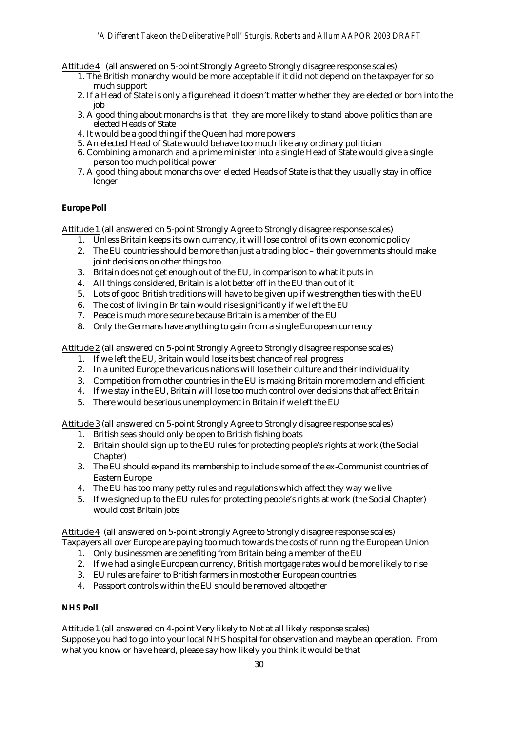Attitude 4 (all answered on 5-point Strongly Agree to Strongly disagree response scales)

- 1. The British monarchy would be more acceptable if it did not depend on the taxpayer for so much support
- 2. If a Head of State is only a figurehead it doesn't matter whether they are elected or born into the job
- 3. A good thing about monarchs is that they are more likely to stand above politics than are elected Heads of State
- 4. It would be a good thing if the Queen had more powers
- 5. An elected Head of State would behave too much like any ordinary politician
- 6. Combining a monarch and a prime minister into a single Head of State would give a single person too much political power
- 7. A good thing about monarchs over elected Heads of State is that they usually stay in office longer

# **Europe Poll**

Attitude 1 (all answered on 5-point Strongly Agree to Strongly disagree response scales)

- 1. Unless Britain keeps its own currency, it will lose control of its own economic policy
- 2. The EU countries should be more than just a trading bloc their governments should make joint decisions on other things too
- 3. Britain does not get enough out of the EU, in comparison to what it puts in
- 4. All things considered, Britain is a lot better off in the EU than out of it
- 5. Lots of good British traditions will have to be given up if we strengthen ties with the EU
- 6. The cost of living in Britain would rise significantly if we left the EU
- 7. Peace is much more secure because Britain is a member of the EU
- 8. Only the Germans have anything to gain from a single European currency

Attitude 2 (all answered on 5-point Strongly Agree to Strongly disagree response scales)

- 1. If we left the EU, Britain would lose its best chance of real progress
- 2. In a united Europe the various nations will lose their culture and their individuality
- 3. Competition from other countries in the EU is making Britain more modern and efficient
- 4. If we stay in the EU, Britain will lose too much control over decisions that affect Britain
- 5. There would be serious unemployment in Britain if we left the EU

Attitude 3 (all answered on 5-point Strongly Agree to Strongly disagree response scales)

- 1. British seas should only be open to British fishing boats
- 2. Britain should sign up to the EU rules for protecting people's rights at work (the Social Chapter)
- 3. The EU should expand its membership to include some of the ex-Communist countries of Eastern Europe
- 4. The EU has too many petty rules and regulations which affect they way we live
- 5. If we signed up to the EU rules for protecting people's rights at work (the Social Chapter) would cost Britain jobs

Attitude 4 (all answered on 5-point Strongly Agree to Strongly disagree response scales) Taxpayers all over Europe are paying too much towards the costs of running the European Union

- 1. Only businessmen are benefiting from Britain being a member of the EU
- 2. If we had a single European currency, British mortgage rates would be more likely to rise
- 3. EU rules are fairer to British farmers in most other European countries
- 4. Passport controls within the EU should be removed altogether

## **NHS Poll**

Attitude 1 (all answered on 4-point Very likely to Not at all likely response scales) Suppose you had to go into your local NHS hospital for observation and maybe an operation. From what you know or have heard, please say how likely you think it would be that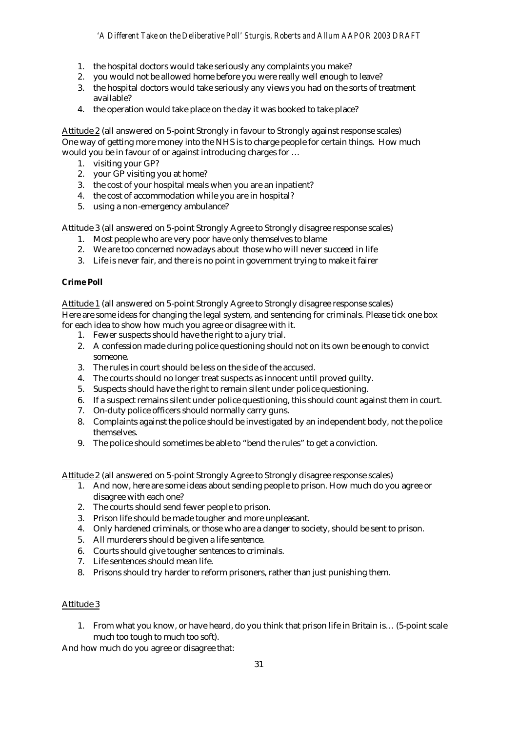- 1. the hospital doctors would take seriously any complaints you make?
- 2. you would not be allowed home before you were really well enough to leave?
- 3. the hospital doctors would take seriously any views you had on the sorts of treatment available?
- 4. the operation would take place on the day it was booked to take place?

Attitude 2 (all answered on 5-point Strongly in favour to Strongly against response scales) One way of getting more money into the NHS is to charge people for certain things. How much would you be in favour of or against introducing charges for …

- 1. visiting your GP?
- 2. your GP visiting you at home?
- 3. the cost of your hospital meals when you are an inpatient?
- 4. the cost of accommodation while you are in hospital?
- 5. using a non-emergency ambulance?

Attitude 3 (all answered on 5-point Strongly Agree to Strongly disagree response scales)

- 1. Most people who are very poor have only themselves to blame
- 2. We are too concerned nowadays about those who will never succeed in life
- 3. Life is never fair, and there is no point in government trying to make it fairer

# **Crime Poll**

Attitude 1 (all answered on 5-point Strongly Agree to Strongly disagree response scales) Here are some ideas for changing the legal system, and sentencing for criminals. Please tick one box for each idea to show how much you agree or disagree with it.

- 1. Fewer suspects should have the right to a jury trial.
- 2. A confession made during police questioning should not on its own be enough to convict someone.
- 3. The rules in court should be less on the side of the accused.
- 4. The courts should no longer treat suspects as innocent until proved guilty.
- 5. Suspects should have the right to remain silent under police questioning.
- 6. If a suspect remains silent under police questioning, this should count against them in court.
- 7. On-duty police officers should normally carry guns.
- 8. Complaints against the police should be investigated by an independent body, not the police themselves.
- 9. The police should sometimes be able to "bend the rules" to get a conviction.

Attitude 2 (all answered on 5-point Strongly Agree to Strongly disagree response scales)

- 1. And now, here are some ideas about sending people to prison. How much do you agree or disagree with each one?
- 2. The courts should send fewer people to prison.
- 3. Prison life should be made tougher and more unpleasant.
- 4. Only hardened criminals, or those who are a danger to society, should be sent to prison.
- 5. All murderers should be given a life sentence.
- 6. Courts should give tougher sentences to criminals.
- 7. Life sentences should mean life.
- 8. Prisons should try harder to reform prisoners, rather than just punishing them.

## Attitude 3

1. From what you know, or have heard, do you think that prison life in Britain is… (5-point scale much too tough to much too soft).

And how much do you agree or disagree that: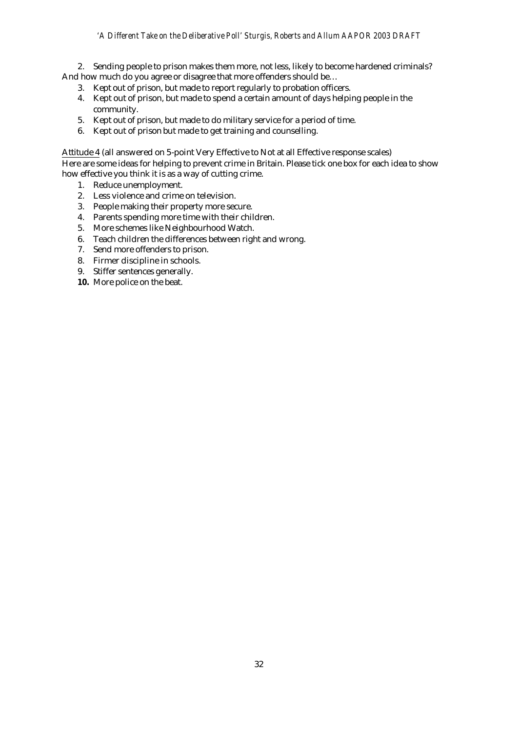2. Sending people to prison makes them more, not less, likely to become hardened criminals? And how much do you agree or disagree that more offenders should be…

- 3. Kept out of prison, but made to report regularly to probation officers.
- 4. Kept out of prison, but made to spend a certain amount of days helping people in the community.
- 5. Kept out of prison, but made to do military service for a period of time.
- 6. Kept out of prison but made to get training and counselling.

Attitude 4 (all answered on 5-point Very Effective to Not at all Effective response scales) Here are some ideas for helping to prevent crime in Britain. Please tick one box for each idea to show how effective you think it is as a way of cutting crime.

- 1. Reduce unemployment.
- 2. Less violence and crime on television.
- 3. People making their property more secure.
- 4. Parents spending more time with their children.
- 5. More schemes like Neighbourhood Watch.
- 6. Teach children the differences between right and wrong.
- 7. Send more offenders to prison.
- 8. Firmer discipline in schools.
- 9. Stiffer sentences generally.
- **10.** More police on the beat.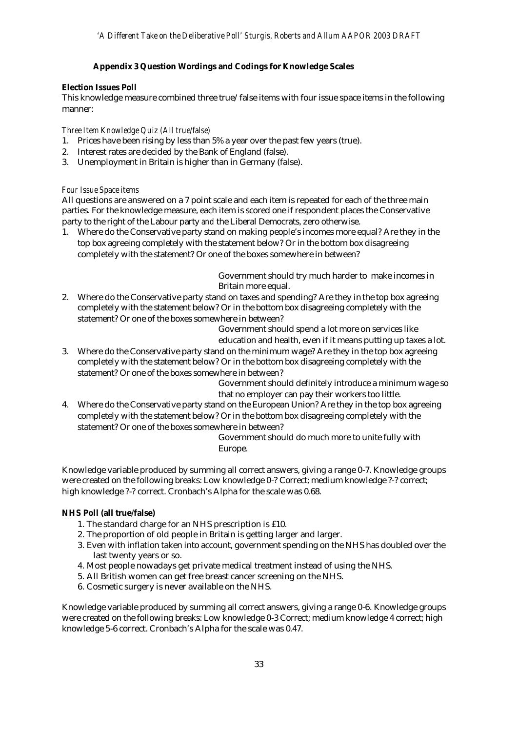# **Appendix 3 Question Wordings and Codings for Knowledge Scales**

# **Election Issues Poll**

This knowledge measure combined three true/false items with four issue space items in the following manner:

*Three Item Knowledge Quiz (All true/false)*

- 1. Prices have been rising by less than 5% a year over the past few years (true).
- 2. Interest rates are decided by the Bank of England (false).
- 3. Unemployment in Britain is higher than in Germany (false).

# *Four Issue Space items*

All questions are answered on a 7 point scale and each item is repeated for each of the three main parties. For the knowledge measure, each item is scored one if respondent places the Conservative party to the right of the Labour party *and* the Liberal Democrats, zero otherwise.

1. Where do the Conservative party stand on making people's incomes more equal? Are they in the top box agreeing completely with the statement below? Or in the bottom box disagreeing completely with the statement? Or one of the boxes somewhere in between?

> Government should try much harder to make incomes in Britain more equal.

2. Where do the Conservative party stand on taxes and spending? Are they in the top box agreeing completely with the statement below? Or in the bottom box disagreeing completely with the statement? Or one of the boxes somewhere in between?

Government should spend a lot more on services like education and health, even if it means putting up taxes a lot.

3. Where do the Conservative party stand on the minimum wage? Are they in the top box agreeing completely with the statement below? Or in the bottom box disagreeing completely with the statement? Or one of the boxes somewhere in between?

Government should definitely introduce a minimum wage so that no employer can pay their workers too little.

4. Where do the Conservative party stand on the European Union? Are they in the top box agreeing completely with the statement below? Or in the bottom box disagreeing completely with the statement? Or one of the boxes somewhere in between?

> Government should do much more to unite fully with Europe.

Knowledge variable produced by summing all correct answers, giving a range 0-7. Knowledge groups were created on the following breaks: Low knowledge 0-? Correct; medium knowledge ?-? correct; high knowledge ?-? correct. Cronbach's Alpha for the scale was 0.68.

# **NHS Poll (all true/false)**

- 1. The standard charge for an NHS prescription is £10.
- 2. The proportion of old people in Britain is getting larger and larger.
- 3. Even with inflation taken into account, government spending on the NHS has doubled over the last twenty years or so.
- 4. Most people nowadays get private medical treatment instead of using the NHS.
- 5. All British women can get free breast cancer screening on the NHS.
- 6. Cosmetic surgery is never available on the NHS.

Knowledge variable produced by summing all correct answers, giving a range 0-6. Knowledge groups were created on the following breaks: Low knowledge 0-3 Correct; medium knowledge 4 correct; high knowledge 5-6 correct. Cronbach's Alpha for the scale was 0.47.